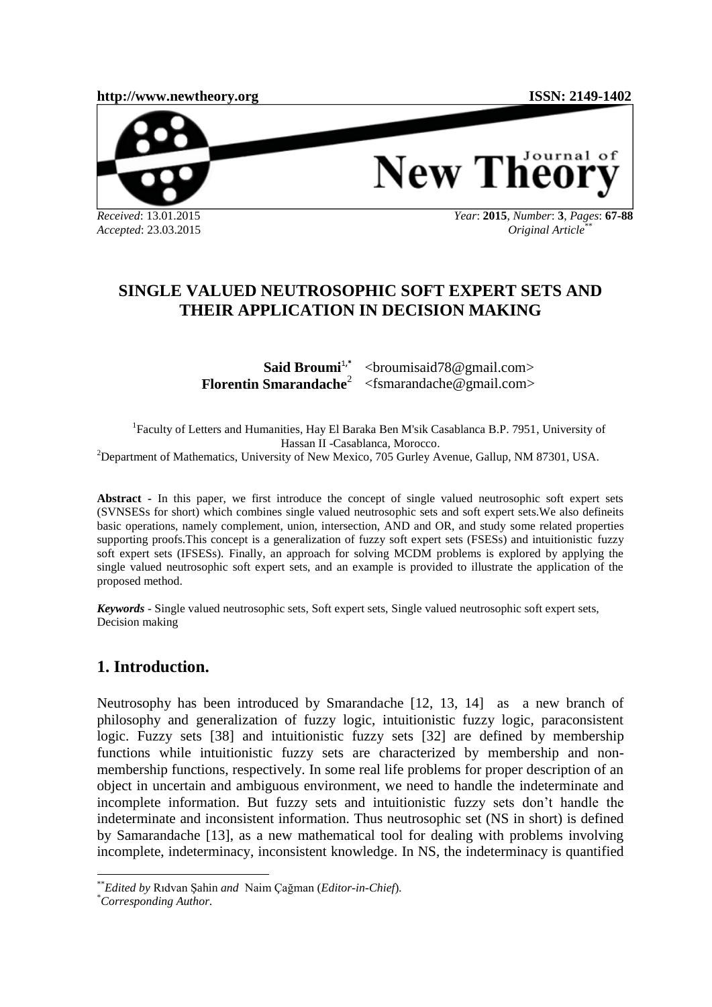**[http://www.newtheory.org](http://www.newtheory.org/) ISSN: 2149-1402**



Journal of **New The** 

*Accepted*: 23.03.2015

*Year*: **2015**, *Number*: **3**, *Pages*: **67-88**  *Original Article*\*\*

# **SINGLE VALUED NEUTROSOPHIC SOFT EXPERT SETS AND THEIR APPLICATION IN DECISION MAKING**

**Said Broumi**<sup>1,\*</sup> **Florentin Smarandache**<sup>2</sup> [<broumisaid78@gmail.com>](mailto:1broumisaid78@gmail.com) [<fsmarandache@gmail.com>](mailto:fsmarandache@gmail.com)

<sup>1</sup>Faculty of Letters and Humanities, Hay El Baraka Ben M'sik Casablanca B.P. 7951, University of Hassan II -Casablanca, Morocco. <sup>2</sup>Department of Mathematics, University of New Mexico, 705 Gurley Avenue, Gallup, NM 87301, USA.

**Abstract -** In this paper, we first introduce the concept of single valued neutrosophic soft expert sets (SVNSESs for short) which combines single valued neutrosophic sets and soft expert sets.We also defineits basic operations, namely complement, union, intersection, AND and OR, and study some related properties supporting proofs.This concept is a generalization of fuzzy soft expert sets (FSESs) and intuitionistic fuzzy soft expert sets (IFSESs). Finally, an approach for solving MCDM problems is explored by applying the single valued neutrosophic soft expert sets, and an example is provided to illustrate the application of the proposed method.

*Keywords -* Single valued neutrosophic sets, Soft expert sets, Single valued neutrosophic soft expert sets, Decision making

# **1. Introduction.**

Neutrosophy has been introduced by Smarandache [12, 13, 14] as a new branch of philosophy and generalization of fuzzy logic, intuitionistic fuzzy logic, paraconsistent logic. Fuzzy sets [38] and intuitionistic fuzzy sets [32] are defined by membership functions while intuitionistic fuzzy sets are characterized by membership and nonmembership functions, respectively. In some real life problems for proper description of an object in uncertain and ambiguous environment, we need to handle the indeterminate and incomplete information. But fuzzy sets and intuitionistic fuzzy sets don't handle the indeterminate and inconsistent information. Thus neutrosophic set (NS in short) is defined by Samarandache [13], as a new mathematical tool for dealing with problems involving incomplete, indeterminacy, inconsistent knowledge. In NS, the indeterminacy is quantified

 $\overline{a}$ \*\**Edited by* Rıdvan Şahin *and* Naim Çağman (*Editor-in-Chief*)*.*

<sup>\*</sup>*Corresponding Author.*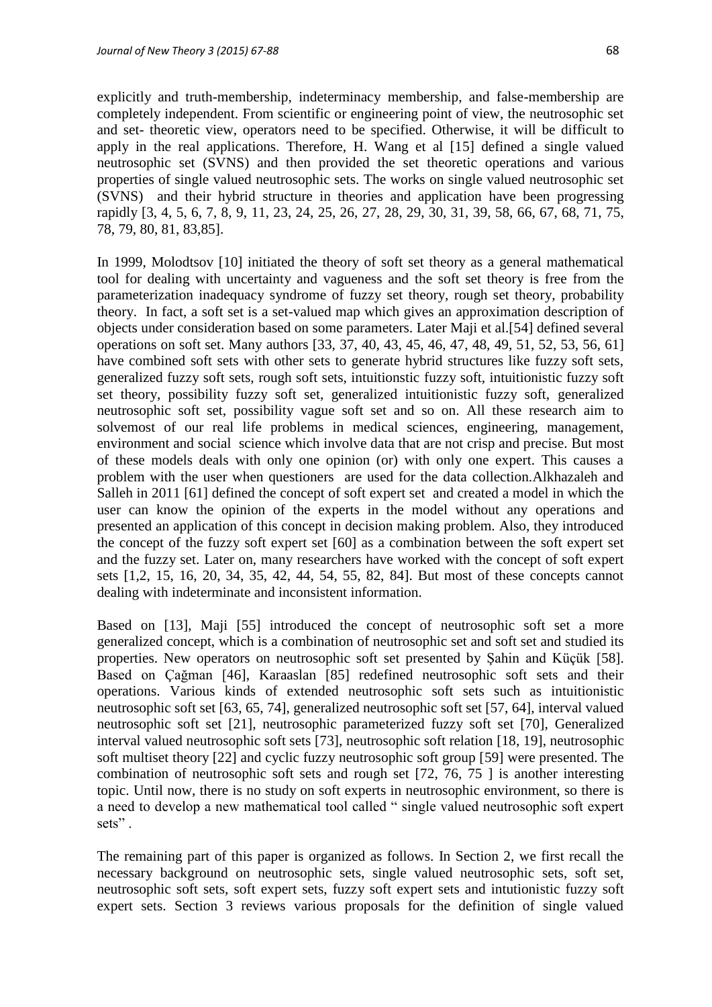explicitly and truth-membership, indeterminacy membership, and false-membership are completely independent. From scientific or engineering point of view, the neutrosophic set and set- theoretic view, operators need to be specified. Otherwise, it will be difficult to apply in the real applications. Therefore, H. Wang et al [15] defined a single valued neutrosophic set (SVNS) and then provided the set theoretic operations and various properties of single valued neutrosophic sets. The works on single valued neutrosophic set (SVNS) and their hybrid structure in theories and application have been progressing rapidly [3, 4, 5, 6, 7, 8, 9, 11, 23, 24, 25, 26, 27, 28, 29, 30, 31, 39, 58, 66, 67, 68, 71, 75, 78, 79, 80, 81, 83,85].

In 1999, Molodtsov [10] initiated the theory of soft set theory as a general mathematical tool for dealing with uncertainty and vagueness and the soft set theory is free from the parameterization inadequacy syndrome of fuzzy set theory, rough set theory, probability theory. In fact, a soft set is a set-valued map which gives an approximation description of objects under consideration based on some parameters. Later Maji et al.[54] defined several operations on soft set. Many authors [33, 37, 40, 43, 45, 46, 47, 48, 49, 51, 52, 53, 56, 61] have combined soft sets with other sets to generate hybrid structures like fuzzy soft sets, generalized fuzzy soft sets, rough soft sets, intuitionstic fuzzy soft, intuitionistic fuzzy soft set theory, possibility fuzzy soft set, generalized intuitionistic fuzzy soft, generalized neutrosophic soft set, possibility vague soft set and so on. All these research aim to solvemost of our real life problems in medical sciences, engineering, management, environment and social science which involve data that are not crisp and precise. But most of these models deals with only one opinion (or) with only one expert. This causes a problem with the user when questioners are used for the data collection.Alkhazaleh and Salleh in 2011 [61] defined the concept of soft expert set and created a model in which the user can know the opinion of the experts in the model without any operations and presented an application of this concept in decision making problem. Also, they introduced the concept of the fuzzy soft expert set [60] as a combination between the soft expert set and the fuzzy set. Later on, many researchers have worked with the concept of soft expert sets [1,2, 15, 16, 20, 34, 35, 42, 44, 54, 55, 82, 84]. But most of these concepts cannot dealing with indeterminate and inconsistent information.

Based on [13], Maji [55] introduced the concept of neutrosophic soft set a more generalized concept, which is a combination of neutrosophic set and soft set and studied its properties. New operators on neutrosophic soft set presented by Şahin and Küçük [58]. Based on Çağman [46], Karaaslan [85] redefined neutrosophic soft sets and their operations. Various kinds of extended neutrosophic soft sets such as intuitionistic neutrosophic soft set [63, 65, 74], generalized neutrosophic soft set [57, 64], interval valued neutrosophic soft set [21], neutrosophic parameterized fuzzy soft set [70], Generalized interval valued neutrosophic soft sets [73], neutrosophic soft relation [18, 19], neutrosophic soft multiset theory [22] and cyclic fuzzy neutrosophic soft group [59] were presented. The combination of neutrosophic soft sets and rough set [72, 76, 75 ] is another interesting topic. Until now, there is no study on soft experts in neutrosophic environment, so there is a need to develop a new mathematical tool called " single valued neutrosophic soft expert sets".

The remaining part of this paper is organized as follows. In Section 2, we first recall the necessary background on neutrosophic sets, single valued neutrosophic sets, soft set, neutrosophic soft sets, soft expert sets, fuzzy soft expert sets and intutionistic fuzzy soft expert sets. Section 3 reviews various proposals for the definition of single valued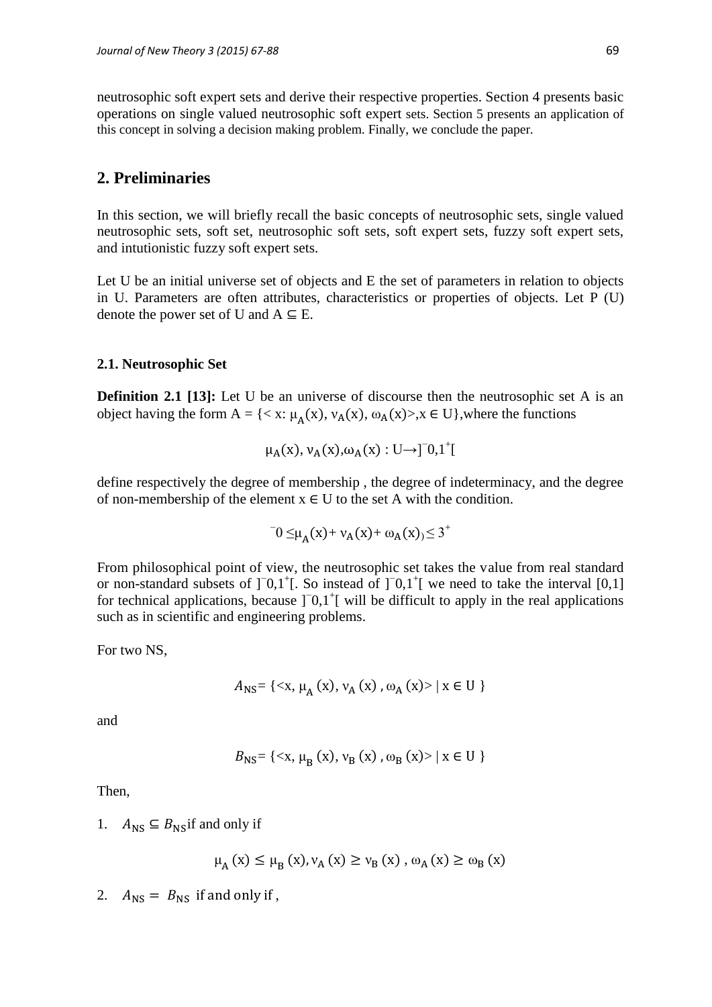neutrosophic soft expert sets and derive their respective properties. Section 4 presents basic operations on single valued neutrosophic soft expert sets. Section 5 presents an application of this concept in solving a decision making problem. Finally, we conclude the paper.

# **2. Preliminaries**

In this section, we will briefly recall the basic concepts of neutrosophic sets, single valued neutrosophic sets, soft set, neutrosophic soft sets, soft expert sets, fuzzy soft expert sets, and intutionistic fuzzy soft expert sets.

Let U be an initial universe set of objects and E the set of parameters in relation to objects in U. Parameters are often attributes, characteristics or properties of objects. Let P (U) denote the power set of U and  $A \subseteq E$ .

### **2.1. Neutrosophic Set**

**Definition 2.1 [13]:** Let U be an universe of discourse then the neutrosophic set A is an object having the form A = { $\langle x : \mu_A(x), v_A(x), \omega_A(x) \rangle$ ,  $x \in U$ }, where the functions

$$
\mu_A(x), \nu_A(x), \omega_A(x): U \rightarrow ]\bar{0}, 1^+[
$$

define respectively the degree of membership , the degree of indeterminacy, and the degree of non-membership of the element  $x \in U$  to the set A with the condition.

$$
0 \leq \mu_A(x) + \nu_A(x) + \omega_A(x) \leq 3^+
$$

From philosophical point of view, the neutrosophic set takes the value from real standard or non-standard subsets of  $]$ <sup>-</sup>0,1<sup>+</sup>[. So instead of  $]$ <sup>-0</sup>,1<sup>+</sup>[ we need to take the interval [0,1] for technical applications, because  $]$ <sup>-</sup> $0,1$ <sup>+</sup> $[$  will be difficult to apply in the real applications such as in scientific and engineering problems.

For two NS,

$$
A_{\rm NS} = \{ \langle x, \mu_A(x), \nu_A(x), \omega_A(x) \rangle \mid x \in U \}
$$

and

$$
B_{\rm NS}
$$
 = {\mu\_{\rm B} (x),  $v_{\rm B}$  (x),  $\omega_{\rm B}$  (x)> | x ∈ U }

Then,

1.  $A_{\text{NS}} \subseteq B_{\text{NS}}$  if and only if

$$
\mu_{A}(x) \le \mu_{B}(x), \nu_{A}(x) \ge \nu_{B}(x), \omega_{A}(x) \ge \omega_{B}(x)
$$

2.  $A_{\text{NS}} = B_{\text{NS}}$  if and only if,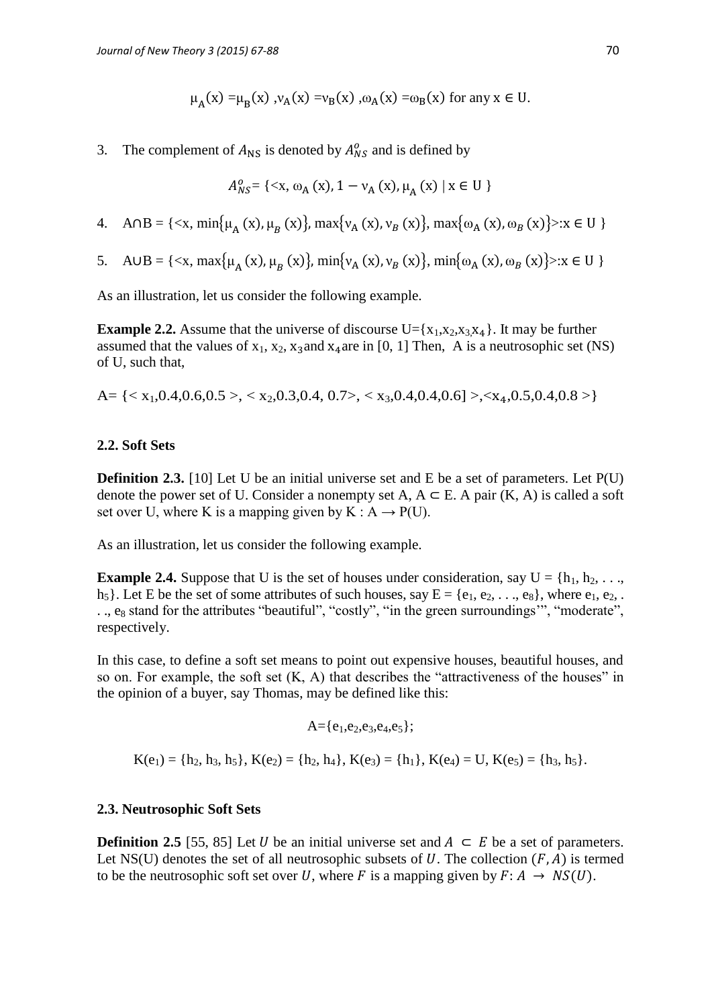$$
\mu_A(x) = \mu_B(x), \nu_A(x) = \nu_B(x), \omega_A(x) = \omega_B(x)
$$
 for any  $x \in U$ .

3. The complement of  $A_{\text{NS}}$  is denoted by  $A_{\text{NS}}^{\text{o}}$  and is defined by

$$
A_{NS}^{o} = \{ \langle x, \omega_A(x), 1 - v_A(x), \mu_A(x) \mid x \in U \}
$$

4.  $A \cap B = \{ \langle x, \min\{\mu_A(x), \mu_B(x)\}, \max\{\nu_A(x), \nu_B(x)\}, \max\{\omega_A(x), \omega_B(x)\} \rangle : x \in U \}$ 

5. 
$$
A \cup B = \{ \langle x, \max\{\mu_A(x), \mu_B(x)\}, \min\{\nu_A(x), \nu_B(x)\}, \min\{\omega_A(x), \omega_B(x)\} \rangle : x \in U \}
$$

As an illustration, let us consider the following example.

**Example 2.2.** Assume that the universe of discourse  $U = \{x_1, x_2, x_3, x_4\}$ . It may be further assumed that the values of  $x_1, x_2, x_3$  and  $x_4$  are in [0, 1] Then, A is a neutrosophic set (NS) of U, such that,

A= { $\langle x_1, 0.4, 0.6, 0.5 \rangle$ ,  $\langle x_2, 0.3, 0.4, 0.7 \rangle$ ,  $\langle x_3, 0.4, 0.4, 0.6 \rangle$ },  $\langle x_4, 0.5, 0.4, 0.8 \rangle$ }

### **2.2. Soft Sets**

**Definition 2.3.** [10] Let U be an initial universe set and E be a set of parameters. Let P(U) denote the power set of U. Consider a nonempty set A,  $A \subseteq E$ . A pair  $(K, A)$  is called a soft set over U, where K is a mapping given by K :  $A \rightarrow P(U)$ .

As an illustration, let us consider the following example.

**Example 2.4.** Suppose that U is the set of houses under consideration, say  $U = \{h_1, h_2, \ldots, h_n\}$  $h_5$ . Let E be the set of some attributes of such houses, say  $E = \{e_1, e_2, \ldots, e_8\}$ , where  $e_1, e_2, \ldots$ .., e<sub>8</sub> stand for the attributes "beautiful", "costly", "in the green surroundings", "moderate", respectively.

In this case, to define a soft set means to point out expensive houses, beautiful houses, and so on. For example, the soft set  $(K, A)$  that describes the "attractiveness of the houses" in the opinion of a buyer, say Thomas, may be defined like this:

$$
A = \{e_1, e_2, e_3, e_4, e_5\};
$$

 $K(e_1) = \{h_2, h_3, h_5\}, K(e_2) = \{h_2, h_4\}, K(e_3) = \{h_1\}, K(e_4) = U, K(e_5) = \{h_3, h_5\}.$ 

## **2.3. Neutrosophic Soft Sets**

**Definition 2.5** [55, 85] Let *U* be an initial universe set and  $A ⊂ E$  be a set of parameters. Let NS(U) denotes the set of all neutrosophic subsets of  $U$ . The collection  $(F, A)$  is termed to be the neutrosophic soft set over U, where F is a mapping given by  $F: A \rightarrow NS(U)$ .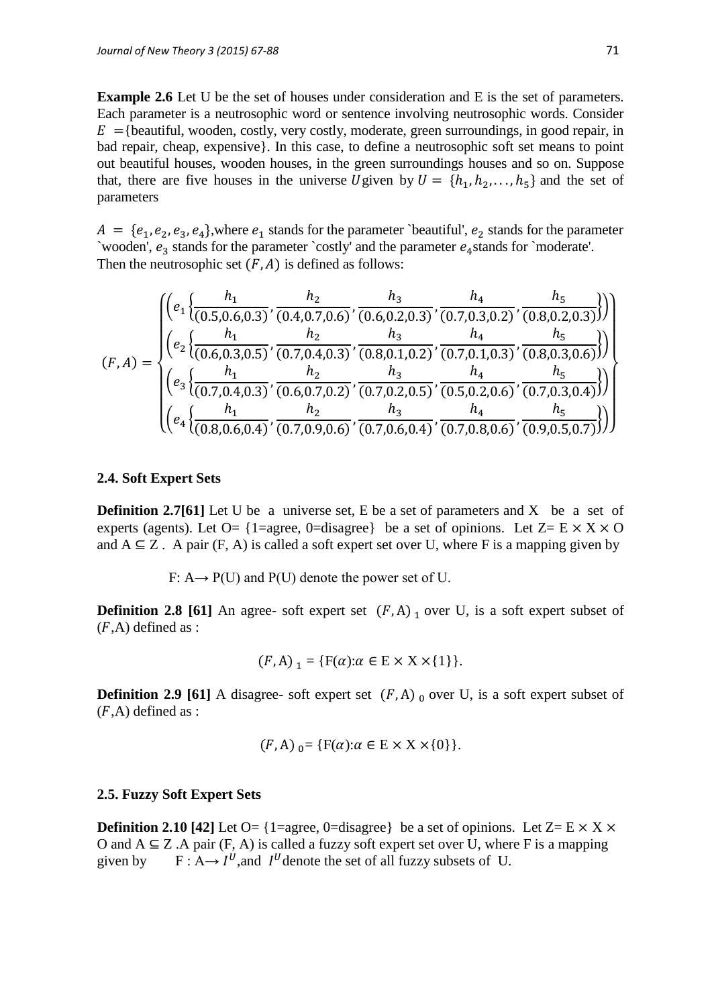**Example 2.6** Let U be the set of houses under consideration and E is the set of parameters. Each parameter is a neutrosophic word or sentence involving neutrosophic words. Consider  $E =$ {beautiful, wooden, costly, very costly, moderate, green surroundings, in good repair, in bad repair, cheap, expensive}. In this case, to define a neutrosophic soft set means to point out beautiful houses, wooden houses, in the green surroundings houses and so on. Suppose that, there are five houses in the universe U given by  $U = \{h_1, h_2, \ldots, h_5\}$  and the set of parameters

 $A = \{e_1, e_2, e_3, e_4\}$ , where  $e_1$  stands for the parameter `beautiful',  $e_2$  stands for the parameter `wooden',  $e_3$  stands for the parameter `costly' and the parameter  $e_4$ stands for `moderate'. Then the neutrosophic set  $(F, A)$  is defined as follows:

$$
(F, A) = \begin{cases} \left(e_1\left\{\frac{h_1}{(0.5, 0.6, 0.3)}, \frac{h_2}{(0.4, 0.7, 0.6)}, \frac{h_3}{(0.6, 0.2, 0.3)}, \frac{h_4}{(0.7, 0.3, 0.2)}, \frac{h_5}{(0.8, 0.2, 0.3)}\right)\right) \\ \left(e_2\left\{\frac{h_1}{(0.6, 0.3, 0.5)}, \frac{h_2}{(0.7, 0.4, 0.3)}, \frac{h_3}{(0.8, 0.1, 0.2)}, \frac{h_4}{(0.7, 0.1, 0.3)}, \frac{h_5}{(0.8, 0.3, 0.6)}\right)\right) \\ \left(e_3\left\{\frac{h_1}{(0.7, 0.4, 0.3)}, \frac{h_2}{(0.6, 0.7, 0.2)}, \frac{h_3}{(0.7, 0.2, 0.5)}, \frac{h_4}{(0.5, 0.2, 0.6)}, \frac{h_5}{(0.7, 0.3, 0.4)}\right)\right) \\ \left(e_4\left\{\frac{h_1}{(0.8, 0.6, 0.4)}, \frac{h_2}{(0.7, 0.9, 0.6)}, \frac{h_3}{(0.7, 0.6, 0.4)}, \frac{h_4}{(0.7, 0.8, 0.6)}, \frac{h_5}{(0.9, 0.5, 0.7)}\right)\right)\right) \end{cases}
$$

#### **2.4. Soft Expert Sets**

**Definition 2.7[61]** Let U be a universe set, E be a set of parameters and X be a set of experts (agents). Let O= {1=agree, 0=disagree} be a set of opinions. Let  $Z = E \times X \times O$ and  $A \subseteq Z$ . A pair (F, A) is called a soft expert set over U, where F is a mapping given by

F:  $A \rightarrow P(U)$  and  $P(U)$  denote the power set of U.

**Definition 2.8 [61]** An agree- soft expert set  $(F, A)$  over U, is a soft expert subset of  $(F,A)$  defined as :

$$
(F, A)_{1} = \{ F(\alpha) : \alpha \in E \times X \times \{1\} \}.
$$

**Definition 2.9 [61]** A disagree- soft expert set  $(F, A)$  over U, is a soft expert subset of  $(F,A)$  defined as :

$$
(F, A)_{0} = \{ F(\alpha) : \alpha \in E \times X \times \{0\} \}.
$$

#### **2.5. Fuzzy Soft Expert Sets**

**Definition 2.10 [42]** Let  $O = \{1 = \text{agree}, 0 = \text{distance}\}\)$  be a set of opinions. Let  $Z = E \times X \times$ O and  $A \subseteq Z$ . A pair  $(F, A)$  is called a fuzzy soft expert set over U, where F is a mapping given by  $^U$ , and  $I^U$  denote the set of all fuzzy subsets of U.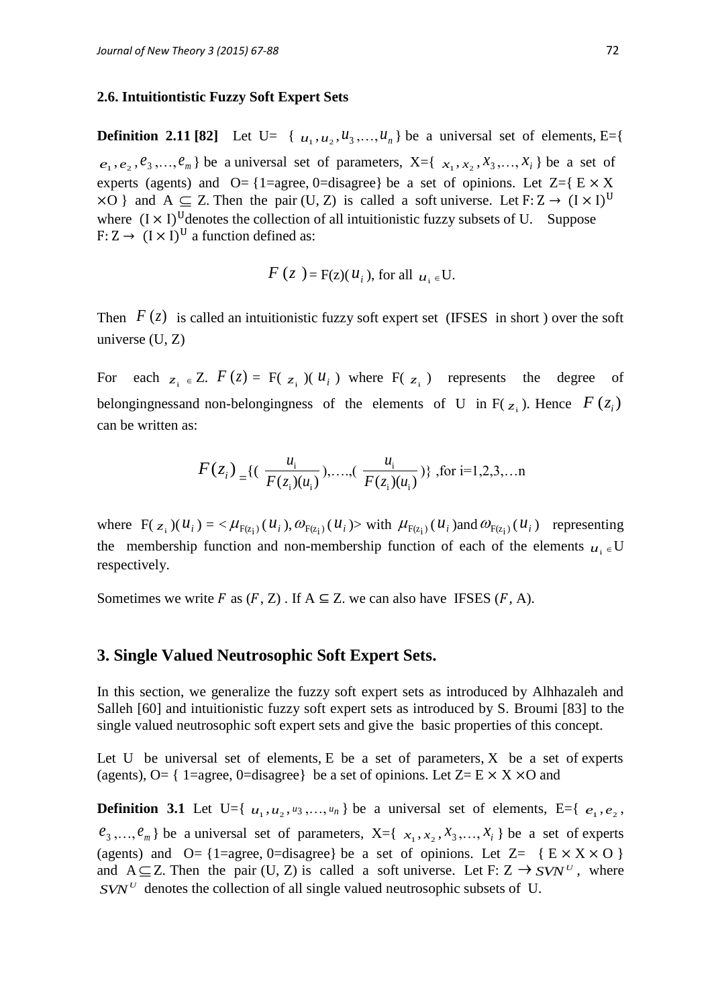#### **2.6. Intuitiontistic Fuzzy Soft Expert Sets**

**Definition 2.11 [82]** Let U= { $u_1, u_2, u_3, \ldots, u_n$ } be a universal set of elements, E={  $e_1, e_2, e_3, \ldots, e_m$  be a universal set of parameters,  $X = \{x_1, x_2, x_3, \ldots, x_i\}$  be a set of experts (agents) and  $O = \{1 = \text{agree}, 0 = \text{distance}\}\$ be a set of opinions. Let  $Z = \{E \times X\}$  $\times$ O } and A  $\subseteq$  Z. Then the pair (U, Z) is called a soft universe. Let F: Z  $\rightarrow$  (I  $\times$  I)<sup>U</sup> where  $(I \times I)^U$  denotes the collection of all intuitionistic fuzzy subsets of U. Suppose F:  $Z \rightarrow (I \times I)^U$  a function defined as:

$$
F(z) = F(z)(u_i)
$$
, for all  $u_i \in U$ .

Then  $F(z)$  is called an intuitionistic fuzzy soft expert set (IFSES in short) over the soft universe (U, Z)

For each  $z_i \in Z$ .  $F(z) = F(z_i)$  ( $u_i$ ) where  $F(z_i)$  represents the degree of belongingnessand non-belongingness of the elements of U in  $F(z_i)$ . Hence  $F(z_i)$ can be written as:

$$
F(z_i) = \{ (\frac{u_i}{F(z_i)(u_i)}), \dots, (\frac{u_i}{F(z_i)(u_i)}) \} , \text{for } i=1,2,3,\dots n
$$

where  $F(z_i)(u_i) = \langle \mu_{F(z_i)}(u_i), \omega_{F(z_i)}(u_i) \rangle$  with  $\mu_{F(z_i)}(u_i)$  and  $\omega_{F(z_i)}(u_i)$  representing the membership function and non-membership function of each of the elements  $u_i \in U$ respectively.

Sometimes we write F as  $(F, Z)$ . If  $A \subseteq Z$ . we can also have IFSES  $(F, A)$ .

### **3. Single Valued Neutrosophic Soft Expert Sets.**

In this section, we generalize the fuzzy soft expert sets as introduced by Alhhazaleh and Salleh [60] and intuitionistic fuzzy soft expert sets as introduced by S. Broumi [83] to the single valued neutrosophic soft expert sets and give the basic properties of this concept.

Let U be universal set of elements,  $E$  be a set of parameters,  $X$  be a set of experts (agents), O= { 1=agree, 0=disagree} be a set of opinions. Let  $Z = E \times X \times O$  and

**Definition 3.1** Let U={ $u_1, u_2, u_3, ..., u_n$ } be a universal set of elements, E={ $e_1, e_2$ ,  $e_3, \ldots, e_m$  be a universal set of parameters,  $X = \{x_1, x_2, x_3, \ldots, x_i\}$  be a set of experts (agents) and  $O = \{1 = \text{agree}, 0 = \text{disagree}\}$  be a set of opinions. Let  $Z = \{E \times X \times O\}$ and  $A \subseteq Z$ . Then the pair (U, Z) is called a soft universe. Let F:  $Z \rightarrow SVN^U$ , where  $SVN<sup>U</sup>$  denotes the collection of all single valued neutrosophic subsets of U.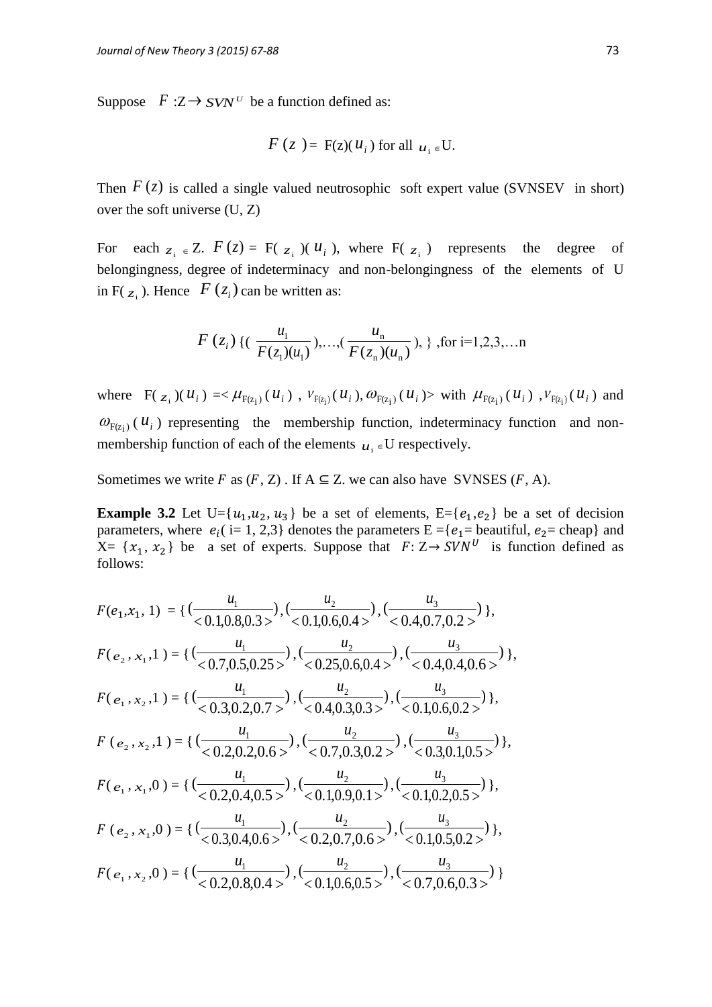Suppose  $F:Z \to SVN^U$  be a function defined as:

$$
F(z) = F(z)(u_i) \text{ for all } u_i \in U.
$$

Then  $F(z)$  is called a single valued neutrosophic soft expert value (SVNSEV in short) over the soft universe (U, Z)

For each  $z_i \in Z$ .  $F(z) = F(z_i)$  ( $u_i$ ), where  $F(z_i)$  represents the degree of belongingness, degree of indeterminacy and non-belongingness of the elements of U in  $F(z_i)$ . Hence  $F(z_i)$  can be written as:

$$
F(z_i)
$$
 {  $(\frac{u_1}{F(z_1)(u_1)}),...,(\frac{u_n}{F(z_n)(u_n)}), \}$ , for i=1,2,3,...n

where  $F(z_i)(u_i) = \langle \mu_{F(z_i)}(u_i), \nu_{F(z_i)}(u_i), \omega_{F(z_i)}(u_i) \rangle$  with  $\mu_{F(z_i)}(u_i), \nu_{F(z_i)}(u_i)$  and  $\omega_{F(z_i)}(u_i)$  representing the membership function, indeterminacy function and nonmembership function of each of the elements  $u_i \in U$  respectively.

Sometimes we write F as  $(F, Z)$ . If  $A \subseteq Z$ . we can also have SVNSES  $(F, A)$ .

**Example 3.2** Let U={ $u_1, u_2, u_3$ } be a set of elements, E={ $e_1, e_2$ } be a set of decision parameters, where  $e_i$  (i= 1, 2,3) denotes the parameters  $E = \{e_1 =$  beautiful,  $e_2 =$  cheap) and  $X = \{x_1, x_2\}$  be a set of experts. Suppose that  $F: Z \rightarrow SVN^U$  is function defined as follows:

$$
F(e_1, x_1, 1) = \{ (\frac{u_1}{<0.1, 0.8, 0.3>}), (\frac{u_2}{<0.1, 0.6, 0.4>}), (\frac{u_3}{<0.4, 0.7, 0.2>}) \},
$$
\n
$$
F(e_2, x_1, 1) = \{ (\frac{u_1}{<0.7, 0.5, 0.25>}), (\frac{u_2}{<0.25, 0.6, 0.4>}), (\frac{u_3}{<0.4, 0.4, 0.6>}) \},
$$
\n
$$
F(e_1, x_2, 1) = \{ (\frac{u_1}{<0.3, 0.2, 0.7>}, (\frac{u_2}{<0.4, 0.3, 0.3>}), (\frac{u_3}{<0.4, 0.4, 0.6>}) \},
$$
\n
$$
F(e_2, x_2, 1) = \{ (\frac{u_1}{<0.2, 0.2, 0.6>}), (\frac{u_2}{<0.7, 0.3, 0.2>}, (\frac{u_3}{<0.3, 0.1, 0.5>}) \},
$$
\n
$$
F(e_2, x_2, 1) = \{ (\frac{u_1}{<0.2, 0.4, 0.5>}, (\frac{u_2}{<0.7, 0.3, 0.2>}), (\frac{u_3}{<0.3, 0.1, 0.5>}) \},
$$
\n
$$
F(e_1, x_1, 0) = \{ (\frac{u_1}{<0.2, 0.4, 0.5>}, (\frac{u_2}{<0.1, 0.9, 0.1>}, (\frac{u_3}{<0.1, 0.2, 0.5>}) \},
$$
\n
$$
F(e_2, x_1, 0) = \{ (\frac{u_1}{<0.3, 0.4, 0.6>}, (\frac{u_2}{<0.2, 0.7, 0.6>}, (\frac{u_3}{<0.1, 0.5, 0.2>}) \},
$$
\n
$$
F(e_1, x_2, 0) = \{ (\frac{u_1}{<0.2, 0.8, 0.4>}, (\frac{u_2}{<0.1, 0.6, 0.5>}, (\frac{u_3}{<0.1, 0.5, 0.2>}) \
$$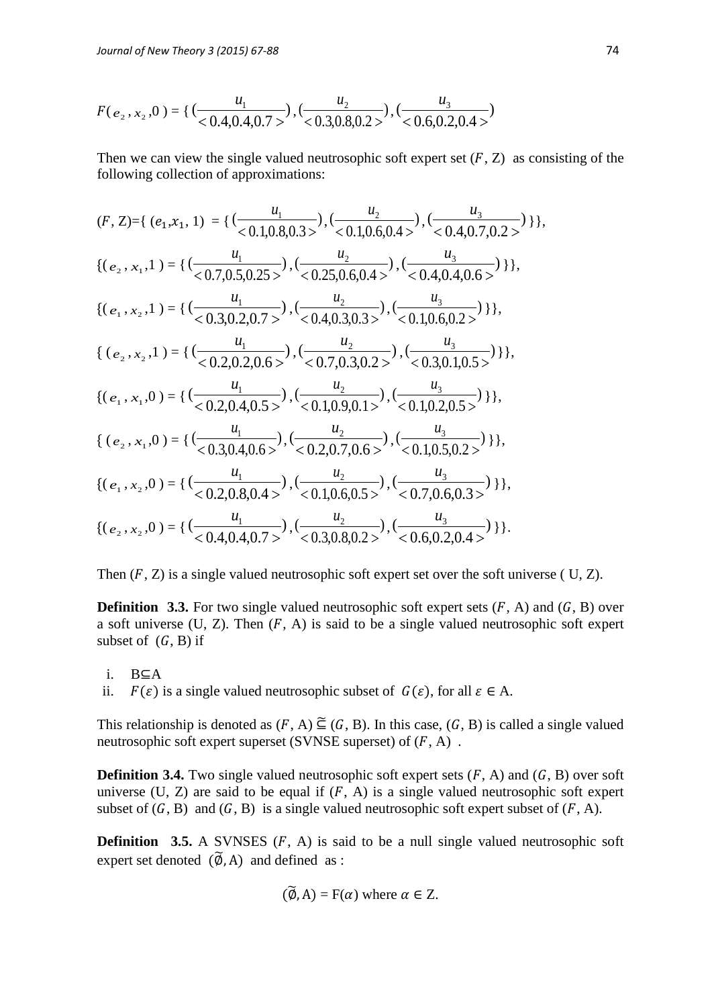$$
F(e_2, x_2, 0) = \left\{ \left( \frac{u_1}{0.4, 0.4, 0.7} \right), \left( \frac{u_2}{0.3, 0.8, 0.2} \right), \left( \frac{u_3}{0.6, 0.2, 0.4} \right) \right\}
$$

Then we can view the single valued neutrosophic soft expert set  $(F, Z)$  as consisting of the following collection of approximations:

$$
(F, Z)=\{ (e_1, x_1, 1) = \{ (\frac{u_1}{<0.1, 0.8, 0.3>}), (\frac{u_2}{<0.1, 0.6, 0.4>}), (\frac{u_3}{<0.4, 0.7, 0.2>}) \} \},
$$
\n
$$
\{(e_2, x_1, 1) = \{ (\frac{u_1}{<0.7, 0.5, 0.25>}), (\frac{u_2}{<0.25, 0.6, 0.4>}), (\frac{u_3}{<0.4, 0.4, 0.6>}) \} \},
$$
\n
$$
\{(e_1, x_2, 1) = \{ (\frac{u_1}{<0.3, 0.2, 0.7>}), (\frac{u_2}{<0.4, 0.3, 0.3>}), (\frac{u_3}{<0.1, 0.6, 0.2>}) \} \},
$$
\n
$$
\{(e_2, x_2, 1) = \{ (\frac{u_1}{<0.2, 0.2, 0.7>}), (\frac{u_2}{<0.7, 0.3, 0.2>}), (\frac{u_3}{<0.1, 0.6, 0.2>}) \} \},
$$
\n
$$
\{(e_2, x_2, 1) = \{ (\frac{u_1}{<0.2, 0.2, 0.6>}), (\frac{u_2}{<0.7, 0.3, 0.2>}), (\frac{u_3}{<0.3, 0.1, 0.5>}) \} \},
$$
\n
$$
\{(e_1, x_1, 0) = \{ (\frac{u_1}{<0.2, 0.4, 0.5>}), (\frac{u_2}{<0.1, 0.9, 0.1>}), (\frac{u_3}{<0.1, 0.2, 0.5>}) \} \},
$$
\n
$$
\{(e_2, x_1, 0) = \{ (\frac{u_1}{<0.3, 0.4, 0.6>}), (\frac{u_2}{<0.2, 0.7, 0.6>}), (\frac{u_3}{<0.1, 0.5, 0.2>}) \} \},
$$
\n
$$
\{(e_1, x_2, 0) = \{ (\frac{u_1}{<0.2, 0.8, 0.4>}), (\frac{u_2}{<0.1, 0.6, 0.5>}), (\frac{u
$$

Then  $(F, Z)$  is a single valued neutrosophic soft expert set over the soft universe ( U, Z).

**Definition 3.3.** For two single valued neutrosophic soft expert sets  $(F, A)$  and  $(G, B)$  over a soft universe  $(U, Z)$ . Then  $(F, A)$  is said to be a single valued neutrosophic soft expert subset of  $(G, B)$  if

i.  $B\subseteq A$ 

ii.  $F(\varepsilon)$  is a single valued neutrosophic subset of  $G(\varepsilon)$ , for all  $\varepsilon \in A$ .

This relationship is denoted as  $(F, A) \subseteq (G, B)$ . In this case,  $(G, B)$  is called a single valued neutrosophic soft expert superset (SVNSE superset) of  $(F, A)$ .

**Definition 3.4.** Two single valued neutrosophic soft expert sets  $(F, A)$  and  $(G, B)$  over soft universe (U, Z) are said to be equal if  $(F, A)$  is a single valued neutrosophic soft expert subset of  $(G, B)$  and  $(G, B)$  is a single valued neutrosophic soft expert subset of  $(F, A)$ .

**Definition** 3.5. A SVNSES  $(F, A)$  is said to be a null single valued neutrosophic soft expert set denoted  $(\widetilde{\varphi}, A)$  and defined as :

$$
(\widetilde{\emptyset}, A) = F(\alpha)
$$
 where  $\alpha \in Z$ .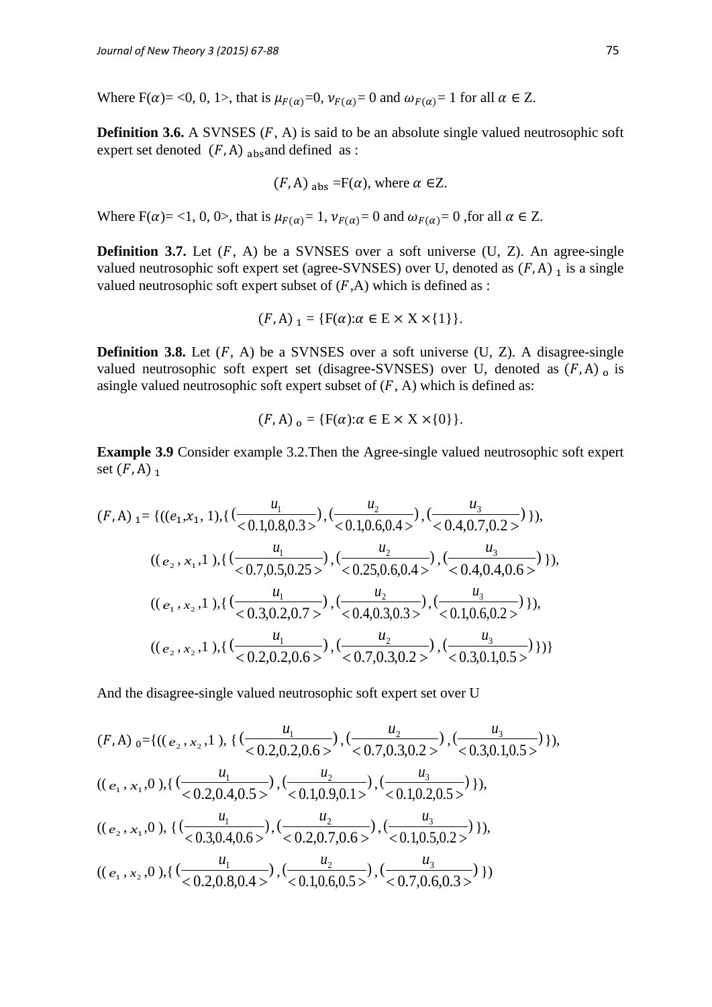Where  $F(\alpha) = 0$ , 0, 1>, that is  $\mu_{F(\alpha)} = 0$ ,  $\nu_{F(\alpha)} = 0$  and  $\omega_{F(\alpha)} = 1$  for all  $\alpha \in \mathbb{Z}$ .

**Definition 3.6.** A SVNSES  $(F, A)$  is said to be an absolute single valued neutrosophic soft expert set denoted  $(F, A)$  absaind defined as :

$$
(F, A)
$$
 <sub>abs</sub> =F( $\alpha$ ), where  $\alpha \in \mathbb{Z}$ .

Where  $F(\alpha) = 1, 0, 0$ , that is  $\mu_{F(\alpha)} = 1$ ,  $\nu_{F(\alpha)} = 0$  and  $\omega_{F(\alpha)} = 0$ , for all  $\alpha \in \mathbb{Z}$ .

**Definition 3.7.** Let  $(F, A)$  be a SVNSES over a soft universe  $(U, Z)$ . An agree-single valued neutrosophic soft expert set (agree-SVNSES) over U, denoted as  $(F, A)$  is a single valued neutrosophic soft expert subset of  $(F,A)$  which is defined as :

$$
(F, A)_{1} = \{ F(\alpha) : \alpha \in E \times X \times \{1\} \}.
$$

**Definition 3.8.** Let  $(F, A)$  be a SVNSES over a soft universe  $(U, Z)$ . A disagree-single valued neutrosophic soft expert set (disagree-SVNSES) over U, denoted as  $(F, A)$  o is asingle valued neutrosophic soft expert subset of  $(F, A)$  which is defined as:

$$
(F, A)_{o} = \{ F(\alpha) : \alpha \in E \times X \times \{0\} \}.
$$

**Example 3.9** Consider example 3.2. Then the Agree-single valued neutrosophic soft expert set  $(F, A)$ <sub>1</sub>

$$
(F, A)_{1} = \{((e_{1}, x_{1}, 1), \{(\frac{u_{1}}{0.1, 0.8, 0.3>}), (\frac{u_{2}}{0.1, 0.6, 0.4>}), (\frac{u_{3}}{0.4, 0.7, 0.2>})\}),\newline ((e_{2}, x_{1}, 1), \{(\frac{u_{1}}{0.7, 0.5, 0.25>}), (\frac{u_{2}}{0.25, 0.6, 0.4>}), (\frac{u_{3}}{0.4, 0.4, 0.6>})\}),((e_{1}, x_{2}, 1), \{(\frac{u_{1}}{0.3, 0.2, 0.7>}), (\frac{u_{2}}{0.4, 0.3, 0.3>}), (\frac{u_{3}}{0.1, 0.6, 0.2>})\}),((e_{2}, x_{2}, 1), \{(\frac{u_{1}}{0.2, 0.2, 0.6>}, (\frac{u_{2}}{0.7, 0.3, 0.2>}), (\frac{u_{3}}{0.3, 0.1, 0.5>})\})\}\)
$$

And the disagree-single valued neutrosophic soft expert set over U

$$
(F, A)_{0} = \{((e_{2}, x_{2}, 1), \{(\frac{u_{1}}{0.2, 0.2, 0.6>}), (\frac{u_{2}}{0.7, 0.3, 0.2>}), (\frac{u_{3}}{0.3, 0.1, 0.5>})\}),\newline ((e_{1}, x_{1}, 0), \{(\frac{u_{1}}{0.2, 0.4, 0.5>}), (\frac{u_{2}}{0.1, 0.9, 0.1>}), (\frac{u_{3}}{0.1, 0.2, 0.5>})\}),\newline ((e_{2}, x_{1}, 0), \{(\frac{u_{1}}{0.3, 0.4, 0.6>}, (\frac{u_{2}}{0.2, 0.7, 0.6>}), (\frac{u_{3}}{0.1, 0.5, 0.2>})\}),\newline ((e_{1}, x_{2}, 0), \{(\frac{u_{1}}{0.2, 0.8, 0.4>}), (\frac{u_{2}}{0.1, 0.6, 0.5>}), (\frac{u_{3}}{0.7, 0.6, 0.3>})\})\}\)
$$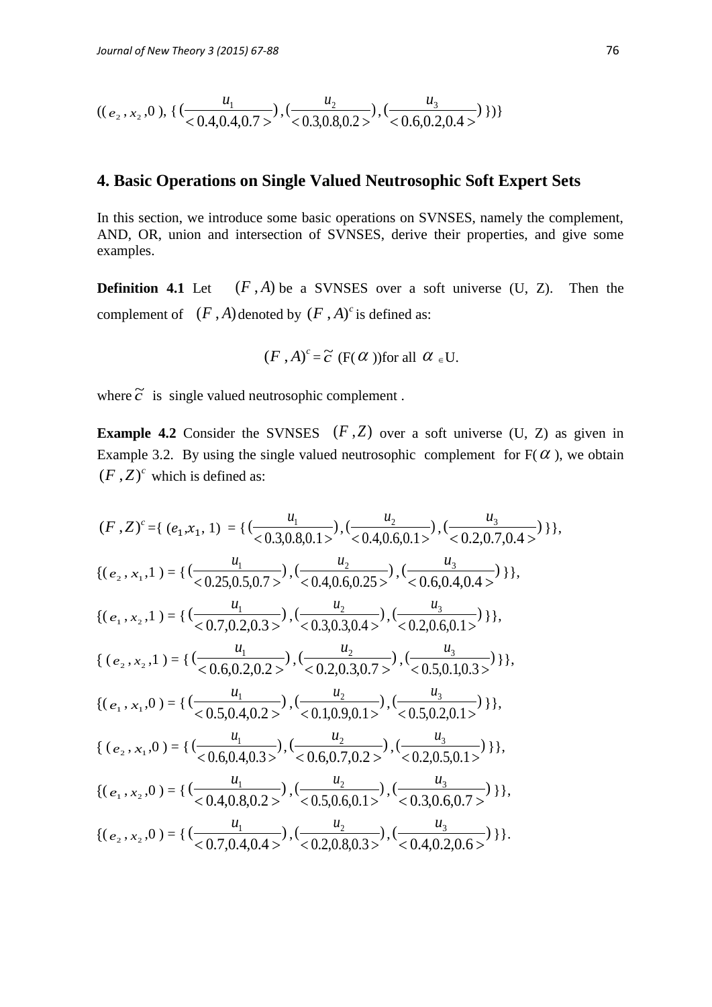$$
((e_2, x_2, 0), \{(\frac{u_1}{<0.4, 0.4, 0.7>}), (\frac{u_2}{<0.3, 0.8, 0.2>}), (\frac{u_3}{<0.6, 0.2, 0.4>})\})\}
$$

# **4. Basic Operations on Single Valued Neutrosophic Soft Expert Sets**

In this section, we introduce some basic operations on SVNSES, namely the complement, AND, OR, union and intersection of SVNSES, derive their properties, and give some examples.

**Definition 4.1** Let  $(F, A)$  be a SVNSES over a soft universe  $(U, Z)$ . Then the complement of  $(F, A)$  denoted by  $(F, A)^c$  is defined as:

$$
(F, A)^c = \tilde{c}
$$
 (F( $\alpha$ ))for all  $\alpha \in U$ .

where  $\tilde{c}$  is single valued neutrosophic complement.

**Example 4.2** Consider the SVNSES  $(F, Z)$  over a soft universe  $(U, Z)$  as given in Example 3.2. By using the single valued neutrosophic complement for  $F(\alpha)$ , we obtain  $(F, Z)^c$  which is defined as:

$$
(F, Z)^{c} = \{ (e_{1}, x_{1}, 1) = \{ (\frac{u_{1}}{0.3, 0.8, 0.1 \times}), (\frac{u_{2}}{0.4, 0.6, 0.1 \times}), (\frac{u_{3}}{0.2, 0.7, 0.4 \times}) \} \},
$$
\n
$$
\{(e_{2}, x_{1}, 1) = \{ (\frac{u_{1}}{0.25, 0.5, 0.7 \times}), (\frac{u_{2}}{0.4, 0.6, 0.25 \times}), (\frac{u_{3}}{0.6, 0.4, 0.4 \times}) \} \},
$$
\n
$$
\{(e_{1}, x_{2}, 1) = \{ (\frac{u_{1}}{0.7, 0.2, 0.3 \times}), (\frac{u_{2}}{0.3, 0.3, 0.4 \times}), (\frac{u_{3}}{0.2, 0.6, 0.1 \times}) \} \},
$$
\n
$$
\{(e_{2}, x_{2}, 1) = \{ (\frac{u_{1}}{0.6, 0.2, 0.2 \times}), (\frac{u_{2}}{0.3, 0.3, 0.4 \times}), (\frac{u_{3}}{0.2, 0.6, 0.1 \times}) \} \},
$$
\n
$$
\{(e_{2}, x_{2}, 1) = \{ (\frac{u_{1}}{0.6, 0.2, 0.2 \times}), (\frac{u_{2}}{0.2, 0.3, 0.7 \times}), (\frac{u_{3}}{0.5, 0.1, 0.3 \times}) \} \},
$$
\n
$$
\{(e_{1}, x_{1}, 0) = \{ (\frac{u_{1}}{0.5, 0.4, 0.2 \times}), (\frac{u_{2}}{0.1, 0.9, 0.1 \times}), (\frac{u_{3}}{0.5, 0.2, 0.1 \times}) \} \},
$$
\n
$$
\{(e_{2}, x_{1}, 0) = \{ (\frac{u_{1}}{0.6, 0.4, 0.3 \times}), (\frac{u_{2}}{0.0, 0.7, 0.2 \times}), (\frac{u_{3}}{0.2, 0.5, 0.1 \times}) \} \},
$$
\n
$$
\{(e_{1}, x_{2}, 0) = \{ (\frac{u_{1}}{0.4, 0.8, 0.2 \times}), (\
$$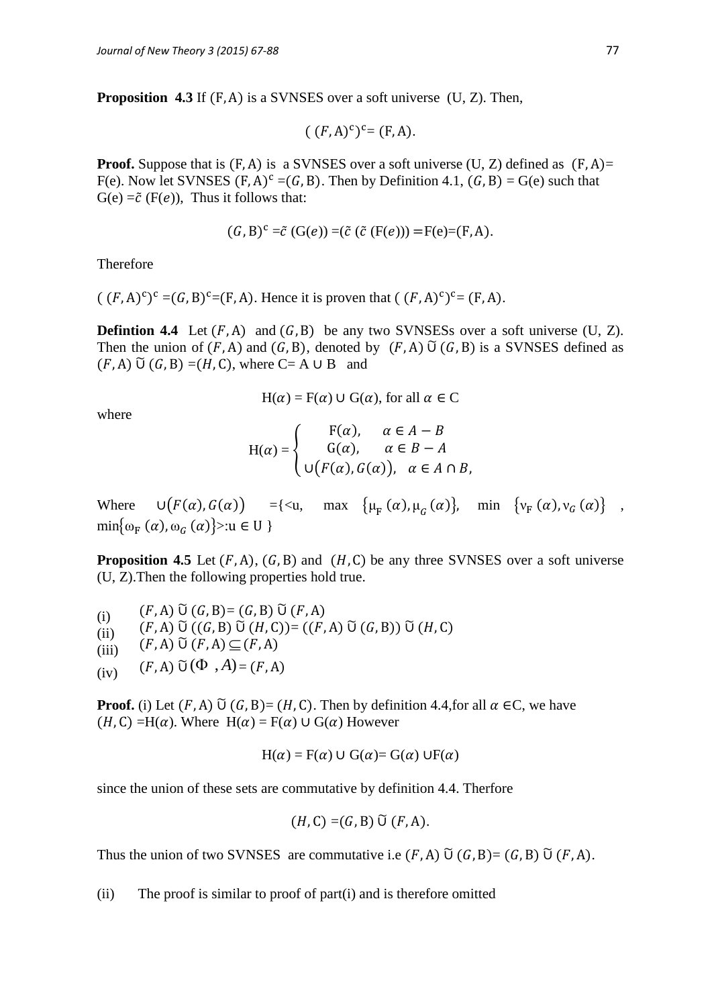**Proposition 4.3** If  $(F, A)$  is a SVNSES over a soft universe  $(U, Z)$ . Then,

$$
((F,A)^c)^c = (F,A).
$$

**Proof.** Suppose that is  $(F, A)$  is a SVNSES over a soft universe  $(U, Z)$  defined as  $(F, A)$ = F(e). Now let SVNSES  $(F, A)^c = (G, B)$ . Then by Definition 4.1,  $(G, B) = G(e)$  such that  $G(e) = \tilde{c}$  (F(e)), Thus it follows that:

$$
(G, B)^c = \tilde{c} (G(e)) = (\tilde{c} (F(e))) = F(e) = (F, A).
$$

Therefore

 $((F, A)^c)^c = (G, B)^c = (F, A)$ . Hence it is proven that  $((F, A)^c)^c = (F, A)$ .

**Defintion 4.4** Let  $(F, A)$  and  $(G, B)$  be any two SVNSESs over a soft universe  $(U, Z)$ . Then the union of  $(F, A)$  and  $(G, B)$ , denoted by  $(F, A)$   $\tilde{U}$   $(G, B)$  is a SVNSES defined as  $(F, A)$   $\widetilde{\cup}$   $(G, B) = (H, C)$ , where  $C = A \cup B$  and

$$
H(\alpha) = F(\alpha) \cup G(\alpha)
$$
, for all  $\alpha \in C$ 

where

$$
H(\alpha) = \begin{cases} F(\alpha), & \alpha \in A - B \\ G(\alpha), & \alpha \in B - A \\ \cup (F(\alpha), G(\alpha)), & \alpha \in A \cap B, \end{cases}
$$

Where  $\bigcup \{ F(\alpha), G(\alpha) \} = \{ \langle u, \max \{ \mu_{F}(\alpha), \mu_{G}(\alpha) \}, \min \{ v_{F}(\alpha), v_{G}(\alpha) \} \},$  $\min\{\omega_F(\alpha), \omega_G(\alpha)\}$  >:u ∈ U }

**Proposition 4.5** Let  $(F, A)$ ,  $(G, B)$  and  $(H, C)$  be any three SVNSES over a soft universe (U, Z).Then the following properties hold true.

(i)  $(F, A) \,\tilde{\cup}\, (G, B) = (G, B) \,\tilde{\cup}\, (F, A)$ (ii)  $(F, A) \,\tilde{\cup}\, ((G, B) \,\tilde{\cup}\, (H, C)) = ((F, A) \,\tilde{\cup}\, (G, B)) \,\tilde{\cup}\, (H, C)$ (iii)  $(F, A) \widetilde{\cup} (F, A) \subseteq$ (iv)  $(F, A) \tilde{\cup} (\Phi, A) = (F, A)$ 

**Proof.** (i) Let  $(F, A)$   $\widetilde{\cup}$   $(G, B) = (H, C)$ . Then by definition 4.4, for all  $\alpha \in C$ , we have  $(H, C) = H(\alpha)$ . Where  $H(\alpha) = F(\alpha) \cup G(\alpha)$  However

$$
H(\alpha) = F(\alpha) \cup G(\alpha) = G(\alpha) \cup F(\alpha)
$$

since the union of these sets are commutative by definition 4.4. Therfore

$$
(H,\mathsf{C})=(G,\mathsf{B})\,\widetilde{\mathsf{U}}\,(F,\mathsf{A}).
$$

Thus the union of two SVNSES are commutative i.e  $(F, A)$   $\widetilde{U}(G, B) = (G, B)$   $\widetilde{U}(F, A)$ .

(ii) The proof is similar to proof of part(i) and is therefore omitted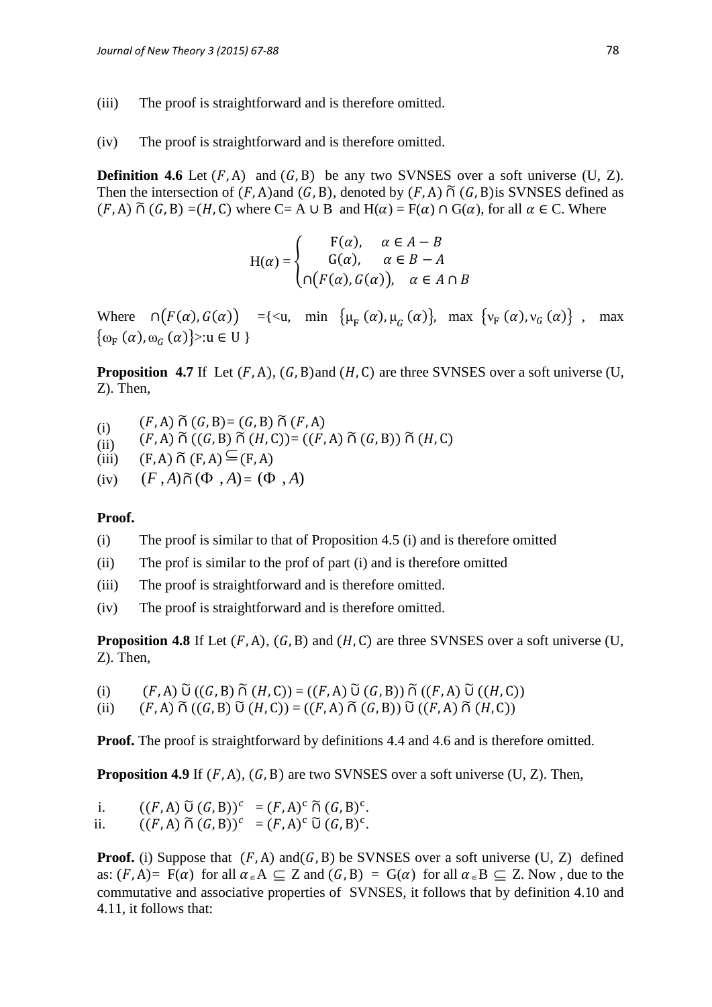- (iii) The proof is straightforward and is therefore omitted.
- (iv) The proof is straightforward and is therefore omitted.

**Definition 4.6** Let  $(F, A)$  and  $(G, B)$  be any two SVNSES over a soft universe  $(U, Z)$ . Then the intersection of  $(F, A)$  and  $(G, B)$ , denoted by  $(F, A)$   $\tilde{\cap}$   $(G, B)$  is SVNSES defined as  $(F, A) \tilde{\cap} (G, B) = (H, C)$  where C= A  $\cup$  B and  $H(\alpha) = F(\alpha) \cap G(\alpha)$ , for all  $\alpha \in C$ . Where

$$
H(\alpha) = \begin{cases} F(\alpha), & \alpha \in A - B \\ G(\alpha), & \alpha \in B - A \\ \cap (F(\alpha), G(\alpha)), & \alpha \in A \cap B \end{cases}
$$

Where  $\bigcap \{ F(\alpha), G(\alpha) \} = \{ \langle u, \min \{ \mu_F(\alpha), \mu_G(\alpha) \}, \max \{ v_F(\alpha), v_G(\alpha) \} \}$ , max  $\{\omega_{\rm F}(\alpha),\omega_{\rm G}(\alpha)\}$ :u ∈ U }

**Proposition 4.7** If Let  $(F, A)$ ,  $(G, B)$  and  $(H, C)$  are three SVNSES over a soft universe  $(U, A)$ Z). Then,

- (i)  $(F, A) \tilde{\cap} (G, B) = (G, B) \tilde{\cap} (F, A)$
- (ii)  $(F, A) \tilde{\cap} ((G, B) \tilde{\cap} (H, C)) = ((F, A) \tilde{\cap} (G, B)) \tilde{\cap} (H, C)$
- (iii)  $(F, A) \widetilde{\cap} (F, A) \cong$
- $(iv)$  $(F, A) \widetilde{\cap} (\Phi, A) = (\Phi, A)$

### **Proof.**

- (i) The proof is similar to that of Proposition 4.5 (i) and is therefore omitted
- (ii) The prof is similar to the prof of part (i) and is therefore omitted
- (iii) The proof is straightforward and is therefore omitted.
- (iv) The proof is straightforward and is therefore omitted.

**Proposition 4.8** If Let  $(F, A)$ ,  $(G, B)$  and  $(H, C)$  are three SVNSES over a soft universe  $(U, A)$ Z). Then,

(i)  $(F, A) \widetilde{\cup} ((G, B) \widetilde{\cap} (H, C)) = ((F, A) \widetilde{\cup} (G, B)) \widetilde{\cap} ((F, A) \widetilde{\cup} ((H, C))$ 

(ii) 
$$
(F, A) \widetilde{\cap} ((G, B) \widetilde{\cup} (H, C)) = ((F, A) \widetilde{\cap} (G, B)) \widetilde{\cup} ((F, A) \widetilde{\cap} (H, C))
$$

**Proof.** The proof is straightforward by definitions 4.4 and 4.6 and is therefore omitted.

**Proposition 4.9** If  $(F, A)$ ,  $(G, B)$  are two SVNSES over a soft universe  $(U, Z)$ . Then,

i.  $((F, A) \widetilde{\cup} (G, B))^c = (F, A)^c \widetilde{\cap} (G, B)^c$ . ii.  $((F, A) \widetilde{\cap} (G, B))^c = (F, A)^c \widetilde{\cup} (G, B)^c$ .

**Proof.** (i) Suppose that  $(F, A)$  and  $(G, B)$  be SVNSES over a soft universe (U, Z) defined as:  $(F, A) = F(\alpha)$  for all  $\alpha \in A \subseteq Z$  and  $(G, B) = G(\alpha)$  for all  $\alpha \in B \subseteq Z$ . Now, due to the commutative and associative properties of SVNSES, it follows that by definition 4.10 and 4.11, it follows that: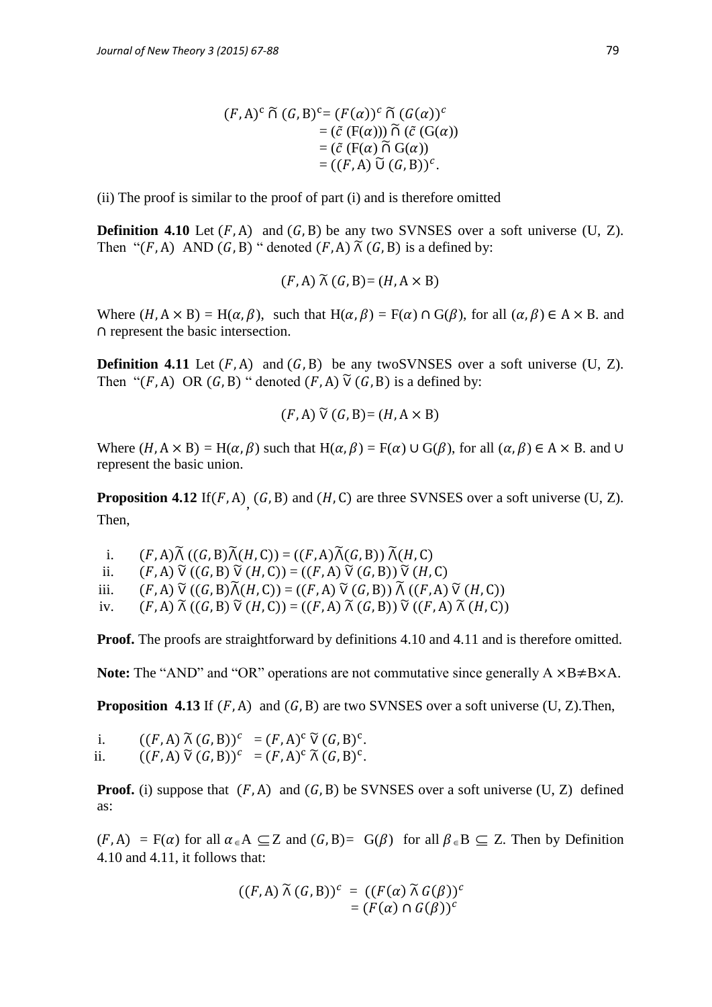$$
(F, A)^c \widetilde{\cap} (G, B)^c = (F(\alpha))^c \widetilde{\cap} (G(\alpha))^c
$$
  
= (\widetilde{c} (F(\alpha))) \widetilde{\cap} (\widetilde{c} (G(\alpha)))  
= (\widetilde{c} (F(\alpha) \widetilde{\cap} G(\alpha))  
= ((F, A) \widetilde{\cup} (G, B))^c.

(ii) The proof is similar to the proof of part (i) and is therefore omitted

**Definition 4.10** Let  $(F, A)$  and  $(G, B)$  be any two SVNSES over a soft universe (U, Z). Then " $(F, A)$  AND  $(G, B)$ " denoted  $(F, A)$   $\tilde{\wedge}$   $(G, B)$  is a defined by:

$$
(F, A) \tilde{\wedge} (G, B) = (H, A \times B)
$$

Where  $(H, A \times B) = H(\alpha, \beta)$ , such that  $H(\alpha, \beta) = F(\alpha) \cap G(\beta)$ , for all  $(\alpha, \beta) \in A \times B$ . and  $\cap$  represent the basic intersection.

**Definition 4.11** Let  $(F, A)$  and  $(G, B)$  be any twoSVNSES over a soft universe (U, Z). Then " $(F, A)$  OR  $(G, B)$ " denoted  $(F, A)$   $\tilde{V}$   $(G, B)$  is a defined by:

$$
(F, A) \widetilde{\vee} (G, B) = (H, A \times B)
$$

Where  $(H, A \times B) = H(\alpha, \beta)$  such that  $H(\alpha, \beta) = F(\alpha) \cup G(\beta)$ , for all  $(\alpha, \beta) \in A \times B$ . and  $\cup$ represent the basic union.

**Proposition 4.12** If  $(F, A)$ <sub>,</sub>  $(G, B)$  and  $(H, C)$  are three SVNSES over a soft universe  $(U, Z)$ . Then,

i.  $(F, A) \widetilde{\Lambda} ((G, B) \widetilde{\Lambda}(H, C)) = ((F, A) \widetilde{\Lambda}(G, B)) \widetilde{\Lambda}(H, C)$ ii.  $(F, A) \widetilde{V} ((G, B) \widetilde{V} (H, C)) = ((F, A) \widetilde{V} (G, B)) \widetilde{V} (H, C)$ iii.  $(F, A) \widetilde{V} ((G, B) \widetilde{\Lambda}(H, C)) = ((F, A) \widetilde{V} (G, B)) \widetilde{\Lambda} ((F, A) \widetilde{V} (H, C))$ iv.  $(F, A) \widetilde{\wedge} ((G, B) \widetilde{\vee} (H, C)) = ((F, A) \widetilde{\wedge} (G, B)) \widetilde{\vee} ((F, A) \widetilde{\wedge} (H, C))$ 

**Proof.** The proofs are straightforward by definitions 4.10 and 4.11 and is therefore omitted.

**Note:** The "AND" and "OR" operations are not commutative since generally  $A \times B \neq B \times A$ .

**Proposition 4.13** If  $(F, A)$  and  $(G, B)$  are two SVNSES over a soft universe  $(U, Z)$ . Then,

i.  $((F, A) \mathcal{K}(G, B))^c = (F, A)^c \mathcal{V}(G, B)^c$ . ii.  $((F, A) \widetilde{\vee} (G, B))^c = (F, A)^c \widetilde{\wedge} (G, B)^c$ .

**Proof.** (i) suppose that  $(F, A)$  and  $(G, B)$  be SVNSES over a soft universe  $(U, Z)$  defined as:

 $(F, A) = F(\alpha)$  for all  $\alpha \in A \subseteq Z$  and  $(G, B) = G(\beta)$  for all  $\beta \in B \subseteq Z$ . Then by Definition 4.10 and 4.11, it follows that:

$$
((F, A) \widetilde{\wedge} (G, B))^c = ((F(\alpha) \widetilde{\wedge} G(\beta))^c
$$
  
= 
$$
(F(\alpha) \cap G(\beta))^c
$$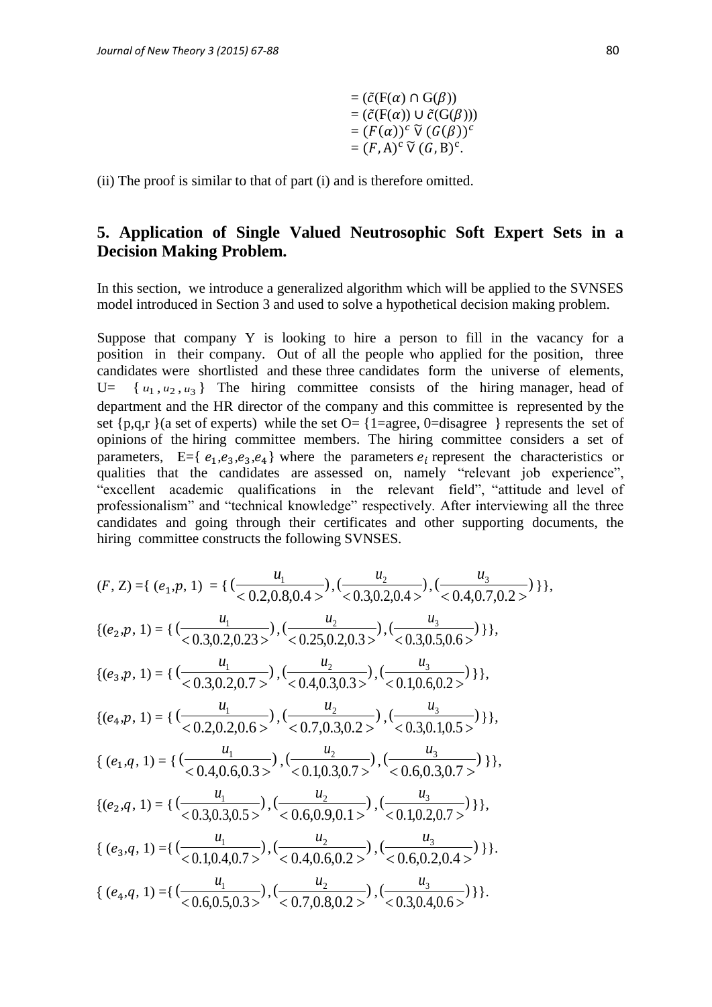$$
= (\tilde{c}(F(\alpha) \cap G(\beta))
$$
  
= (\tilde{c}(F(\alpha)) \cup \tilde{c}(G(\beta)))  
= (F(\alpha))<sup>c</sup>  $\tilde{V}$   $(G(\beta))c$   
= (F, A)<sup>c</sup>  $\tilde{V}$   $(G, B)c$ .

(ii) The proof is similar to that of part (i) and is therefore omitted.

## **5. Application of Single Valued Neutrosophic Soft Expert Sets in a Decision Making Problem.**

In this section, we introduce a generalized algorithm which will be applied to the SVNSES model introduced in Section 3 and used to solve a hypothetical decision making problem.

Suppose that company Y is looking to hire a person to fill in the vacancy for a position in their company. Out of all the people who applied for the position, three candidates were shortlisted and these three candidates form the universe of elements,  $U=$  $u_1, u_2, u_3$  The hiring committee consists of the hiring manager, head of department and the HR director of the company and this committee is represented by the set  $\{p,q,r\}$  (a set of experts) while the set  $O = \{1 = \text{agree}, 0 = \text{disagree}\}$  represents the set of opinions of the hiring committee members. The hiring committee considers a set of parameters, E={ $e_1, e_3, e_3, e_4$ } where the parameters  $e_i$  represent the characteristics or qualities that the candidates are assessed on, namely "relevant job experience", "excellent academic qualifications in the relevant field", "attitude and level of professionalism" and "technical knowledge" respectively. After interviewing all the three candidates and going through their certificates and other supporting documents, the hiring committee constructs the following SVNSES.

$$
(F, Z) = \{ (e_1, p, 1) = \{ (\frac{u_1}{< 0.2, 0.8, 0.4>}), (\frac{u_2}{< 0.3, 0.2, 0.4>}), (\frac{u_3}{< 0.4, 0.7, 0.2>} ) \} \},\
$$
  
\n
$$
\{(e_2, p, 1) = \{ (\frac{u_1}{< 0.3, 0.2, 0.23>}), (\frac{u_2}{< 0.25, 0.2, 0.3>}), (\frac{u_3}{< 0.3, 0.5, 0.6>} ) \} \},\
$$
  
\n
$$
\{(e_3, p, 1) = \{ (\frac{u_1}{< 0.3, 0.2, 0.7>}), (\frac{u_2}{< 0.4, 0.3, 0.3>}), (\frac{u_3}{< 0.1, 0.6, 0.2>} ) \} \},\
$$
  
\n
$$
\{(e_4, p, 1) = \{ (\frac{u_1}{< 0.2, 0.2, 0.6>}), (\frac{u_2}{< 0.7, 0.3, 0.2>}), (\frac{u_3}{< 0.3, 0.1, 0.5>} ) \} \},\
$$
  
\n
$$
\{(e_1, q, 1) = \{ (\frac{u_1}{< 0.4, 0.6, 0.3>}), (\frac{u_2}{< 0.1, 0.3, 0.7>}), (\frac{u_3}{< 0.6, 0.3, 0.7>} ) \} \},\
$$
  
\n
$$
\{(e_2, q, 1) = \{ (\frac{u_1}{< 0.3, 0.3, 0.5>}), (\frac{u_2}{< 0.1, 0.3, 0.7>}), (\frac{u_3}{< 0.6, 0.3, 0.7>} ) \} \},\
$$
  
\n
$$
\{(e_2, q, 1) = \{ (\frac{u_1}{< 0.3, 0.3, 0.5>}), (\frac{u_2}{< 0.6, 0.9, 0.1>}), (\frac{u_3}{< 0.1, 0.2, 0.7>} ) \} \},\
$$
  
\n
$$
\{(e_3, q, 1) = \{ (\frac{u_1}{< 0.1, 0.4, 0.7>}
$$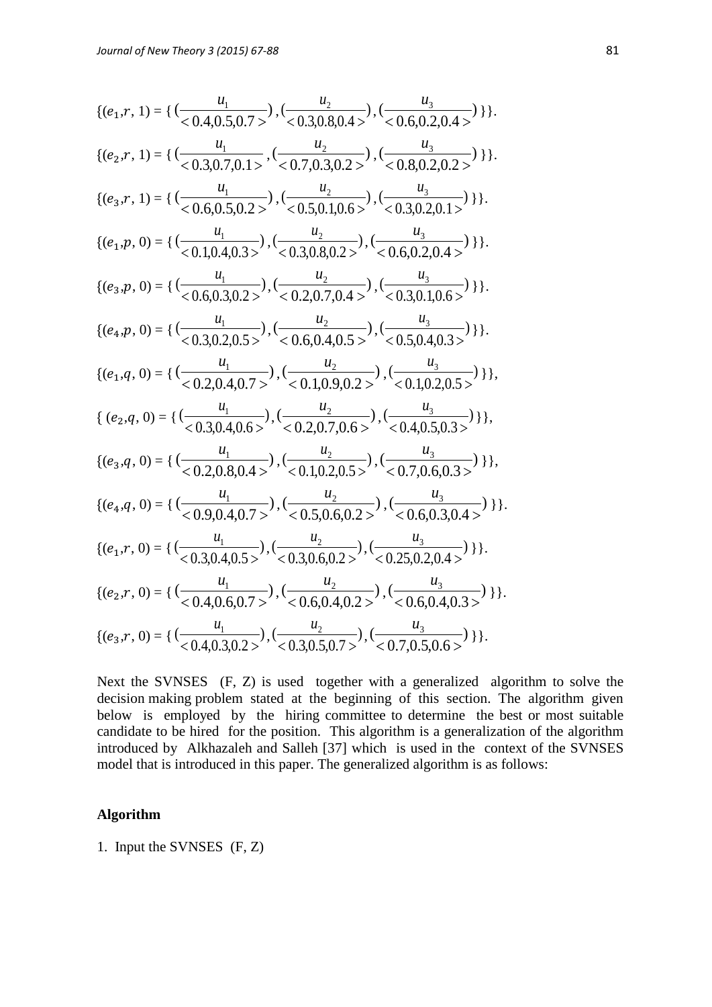{
$$
{e_1, r, 1} = { ( \frac{u_1}{< 0.4, 0.5, 0.7>} ), ( \frac{u_2}{< 0.3, 0.8, 0.4>} ), ( \frac{u_3}{< 0.6, 0.2, 0.4>} ) }
$$
}},  
\n{
$$
{e_2, r, 1} = { ( \frac{u_1}{< 0.3, 0.7, 0.1>} , ( \frac{u_2}{< 0.7, 0.3, 0.2>} ), ( \frac{u_3}{< 0.8, 0.2, 0.2>} ) }
$$
} ).  
\n{
$$
{e_3, r, 1} = { ( \frac{u_1}{< 0.6, 0.5, 0.2>} ), ( \frac{u_2}{< 0.5, 0.1, 0.6>} ), ( \frac{u_3}{< 0.3, 0.2, 0.1>} ) }
$$
} ).  
\n{
$$
{e_1, p, 0} = { ( \frac{u_1}{< 0.1, 0.4, 0.3>} ), ( \frac{u_2}{< 0.3, 0.8, 0.2>} ), ( \frac{u_3}{< 0.3, 0.2, 0.1} ) }
$$
} ).  
\n{
$$
{e_4, p, 0} = { ( \frac{u_1}{< 0.6, 0.3, 0.2>} ), ( \frac{u_2}{< 0.2, 0.7, 0.4>} ), ( \frac{u_3}{< 0.3, 0.1, 0.6>} ) }
$$
} ).  
\n{
$$
{e_4, p, 0} = { ( \frac{u_1}{< 0.3, 0.2, 0.5>} ), ( \frac{u_2}{< 0.2, 0.7, 0.4>} ), ( \frac{u_3}{< 0.3, 0.1, 0.6>} ) }
$$
} ).  
\n{
$$
{e_4, p, 0} = { ( \frac{u_1}{< 0.3, 0.2, 0.5>} ), ( \frac{u_2}{< 0.6, 0.4, 0.5>} ), ( \frac{u_3}{< 0.5, 0.4, 0.3>} ) }
$$
} },  
\n{
$$
{e_2, q, 0} = { ( \frac{u_1}{< 0.3, 0.4, 0.6>} ), ( \frac{u_2}{< 0.2,
$$

Next the SVNSES (F, Z) is used together with a generalized algorithm to solve the decision making problem stated at the beginning of this section. The algorithm given below is employed by the hiring committee to determine the best or most suitable candidate to be hired for the position. This algorithm is a generalization of the algorithm introduced by Alkhazaleh and Salleh [37] which is used in the context of the SVNSES model that is introduced in this paper. The generalized algorithm is as follows:

### **Algorithm**

1. Input the SVNSES (F, Z)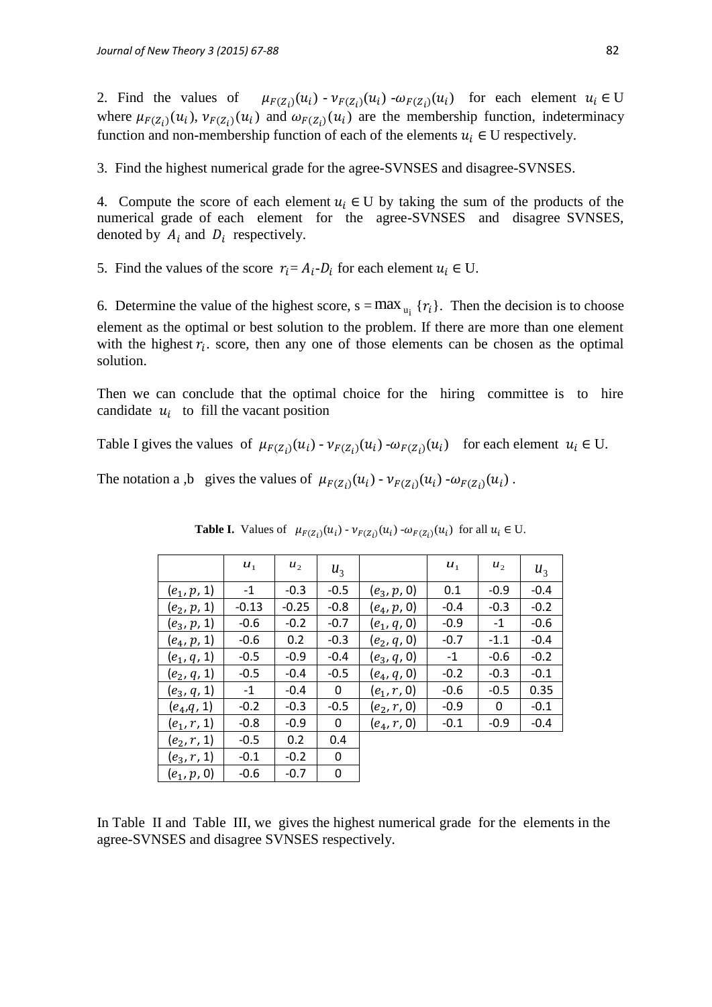2. Find the values of  $(v_1)(u_i)$  -  $v_{F(Z_i)}(u_i)$  -  $\omega_{F(Z_i)}(u_i)$  for each element  $u_i \in U$ where  $\mu_{F(Z_i)}(u_i)$ ,  $\nu_{F(Z_i)}(u_i)$  and  $\omega_{F(Z_i)}(u_i)$  are the membership function, indeterminacy function and non-membership function of each of the elements  $u_i \in U$  respectively.

3. Find the highest numerical grade for the agree-SVNSES and disagree-SVNSES.

4. Compute the score of each element  $u_i \in U$  by taking the sum of the products of the numerical grade of each element for the agree-SVNSES and disagree SVNSES, denoted by  $A_i$  and  $D_i$  respectively.

5. Find the values of the score  $r_i = A_i - D_i$  for each element  $u_i \in U$ .

6. Determine the value of the highest score,  $s = max_{u_i} \{r_i\}$ . Then the decision is to choose element as the optimal or best solution to the problem. If there are more than one element with the highest  $r_i$ , score, then any one of those elements can be chosen as the optimal solution.

Then we can conclude that the optimal choice for the hiring committee is to hire candidate  $u_i$  to fill the vacant position

Table I gives the values of  $\mu_{F(Z_i)}(u_i) - \nu_{F(Z_i)}(u_i) - \omega_{F(Z_i)}(u_i)$  for each element  $u_i \in U$ .

The notation a ,b gives the values of  $\mu_{F(Z_i)}(u_i) - \nu_{F(Z_i)}(u_i) - \omega_{F(Z_i)}(u_i)$ .

|               | $u_1$   | $u_{2}$ | $u_{3}$ |               | $u_1$  | $u_{\gamma}$ | $u_{3}$ |
|---------------|---------|---------|---------|---------------|--------|--------------|---------|
| $(e_1, p, 1)$ | $-1$    | $-0.3$  | $-0.5$  | $(e_3, p, 0)$ | 0.1    | $-0.9$       | $-0.4$  |
| $(e_2, p, 1)$ | $-0.13$ | $-0.25$ | $-0.8$  | $(e_4, p, 0)$ | $-0.4$ | $-0.3$       | $-0.2$  |
| $(e_3, p, 1)$ | $-0.6$  | $-0.2$  | $-0.7$  | $(e_1, q, 0)$ | $-0.9$ | $-1$         | $-0.6$  |
| $(e_4, p, 1)$ | $-0.6$  | 0.2     | $-0.3$  | $(e_2, q, 0)$ | $-0.7$ | $-1.1$       | $-0.4$  |
| $(e_1, q, 1)$ | $-0.5$  | $-0.9$  | $-0.4$  | $(e_3, q, 0)$ | $-1$   | $-0.6$       | $-0.2$  |
| $(e_2, q, 1)$ | $-0.5$  | $-0.4$  | $-0.5$  | $(e_4, q, 0)$ | $-0.2$ | $-0.3$       | $-0.1$  |
| $(e_3, q, 1)$ | $-1$    | $-0.4$  | 0       | $(e_1, r, 0)$ | $-0.6$ | $-0.5$       | 0.35    |
| $(e_4,q, 1)$  | $-0.2$  | $-0.3$  | $-0.5$  | $(e_2, r, 0)$ | $-0.9$ | $\Omega$     | $-0.1$  |
| $(e_1, r, 1)$ | $-0.8$  | $-0.9$  | 0       | $(e_4, r, 0)$ | $-0.1$ | $-0.9$       | $-0.4$  |
| $(e_2, r, 1)$ | $-0.5$  | 0.2     | 0.4     |               |        |              |         |
| $(e_3, r, 1)$ | $-0.1$  | $-0.2$  | 0       |               |        |              |         |
| $(e_1, p, 0)$ | $-0.6$  | $-0.7$  | 0       |               |        |              |         |

**Table I.** Values of  $\mu_{F(Z_i)}(u_i) - \nu_{F(Z_i)}(u_i) - \omega_{F(Z_i)}(u_i)$  for all  $u_i \in U$ .

In Table II and Table III, we gives the highest numerical grade for the elements in the agree-SVNSES and disagree SVNSES respectively.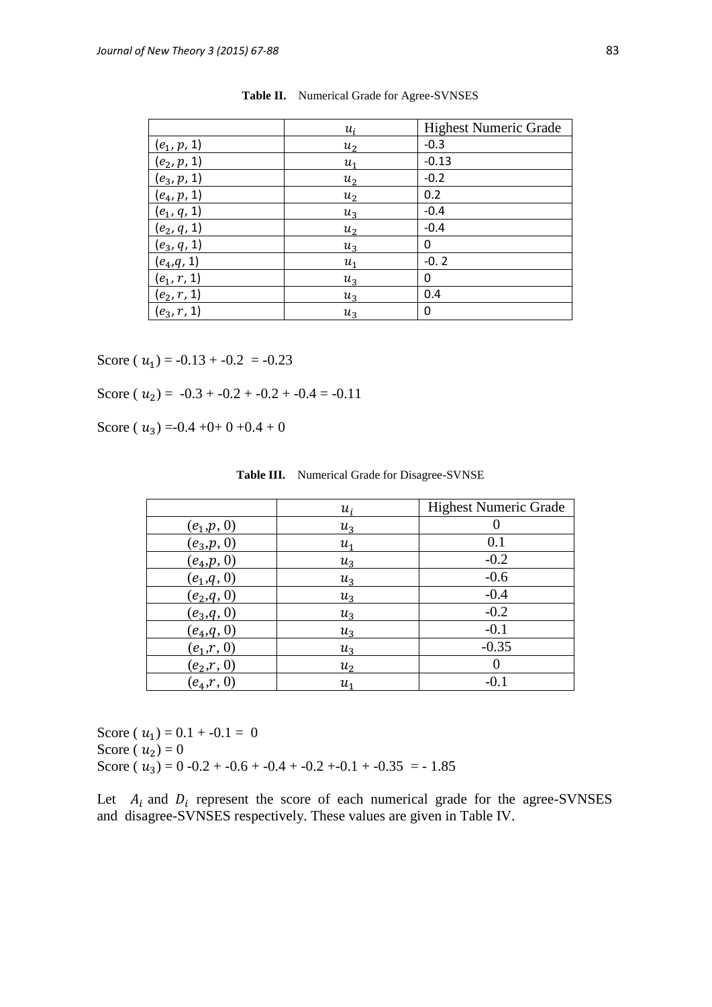|               | $u_i$ | <b>Highest Numeric Grade</b> |
|---------------|-------|------------------------------|
| $(e_1, p, 1)$ | $u_2$ | $-0.3$                       |
| $(e_2, p, 1)$ | $u_1$ | $-0.13$                      |
| $(e_3, p, 1)$ | $u_2$ | $-0.2$                       |
| $(e_4, p, 1)$ | $u_2$ | 0.2                          |
| $(e_1, q, 1)$ | $u_3$ | $-0.4$                       |
| $(e_2, q, 1)$ | $u_2$ | $-0.4$                       |
| $(e_3, q, 1)$ | $u_3$ | 0                            |
| $(e_4,q,1)$   | $u_1$ | $-0.2$                       |
| $(e_1, r, 1)$ | $u_3$ | 0                            |
| $(e_2, r, 1)$ | $u_3$ | 0.4                          |
| $(e_3, r, 1)$ | $u_3$ | 0                            |

| Table II. Numerical Grade for Agree-SVNSES |
|--------------------------------------------|
|--------------------------------------------|

Score ( $u_1$ ) = -0.13 + -0.2 = -0.23

Score ( $u_2$ ) = -0.3 + -0.2 + -0.2 + -0.4 = -0.11

Score ( $u_3$ ) =-0.4 +0+ 0 +0.4 + 0

|               | $u_i$          | <b>Highest Numeric Grade</b> |
|---------------|----------------|------------------------------|
| $(e_1,p,0)$   | $u_3$          |                              |
| $(e_3, p, 0)$ | $u_1$          | 0.1                          |
| $(e_4, p, 0)$ | $u_3$          | $-0.2$                       |
| $(e_1, q, 0)$ | $u_3$          | $-0.6$                       |
| $(e_2,q,0)$   | $u_3$          | $-0.4$                       |
| $(e_3, q, 0)$ | $u_3$          | $-0.2$                       |
| $(e_4, q, 0)$ | $u_3$          | $-0.1$                       |
| $(e_1,r, 0)$  | $u_3$          | $-0.35$                      |
| $(e_2,r, 0)$  | u <sub>2</sub> |                              |
| $(e_4,r, 0)$  | u1             | $-0.1$                       |

**Table III.** Numerical Grade for Disagree-SVNSE

Score ( $u_1$ ) = 0.1 + -0.1 = 0 Score ( $u_2$ ) = 0 Score ( $u_3$ ) = 0 -0.2 + -0.6 + -0.4 + -0.2 +-0.1 + -0.35 = - 1.85

Let  $A_i$  and  $D_i$  represent the score of each numerical grade for the agree-SVNSES and disagree-SVNSES respectively. These values are given in Table IV.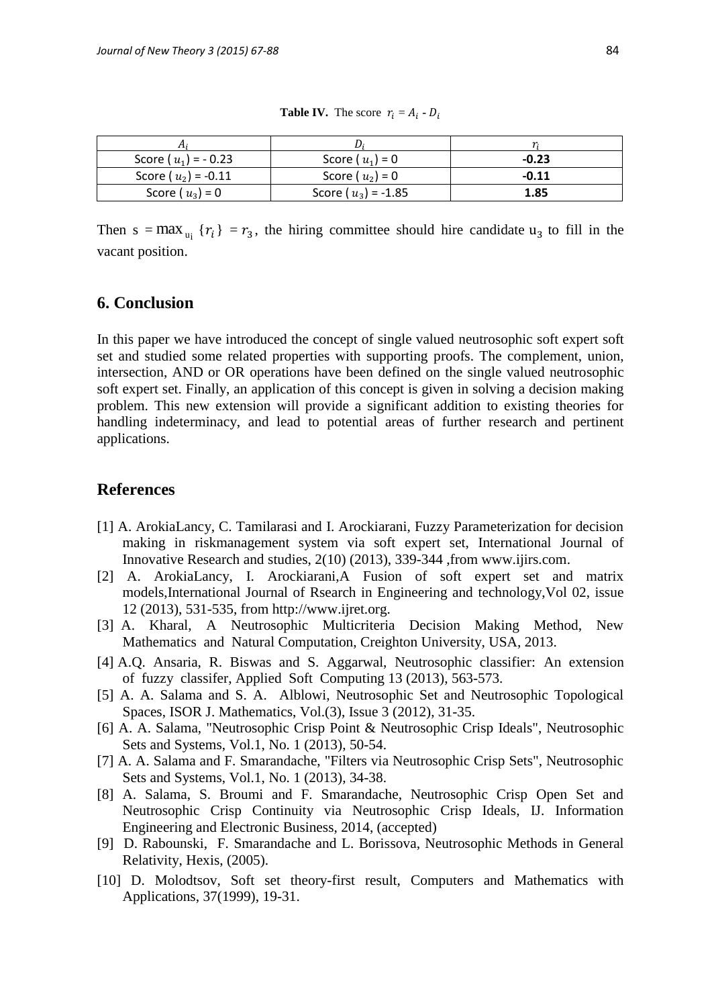| Score ( $u_1$ ) = -0.23 | Score ( $u_1$ ) = 0     | $-0.23$ |
|-------------------------|-------------------------|---------|
| Score ( $u_2$ ) = -0.11 | Score ( $u_2$ ) = 0     | $-0.11$ |
| Score ( $u_3$ ) = 0     | Score ( $u_3$ ) = -1.85 | 1.85    |

**Table IV.** The score  $r_i = A_i \cdot D$ 

Then s = max<sub>u<sub>i</sub></sub>  $\{r_i\}$  =  $r_3$ , the hiring committee should hire candidate u<sub>3</sub> to fill in the vacant position.

## **6. Conclusion**

In this paper we have introduced the concept of single valued neutrosophic soft expert soft set and studied some related properties with supporting proofs. The complement, union, intersection, AND or OR operations have been defined on the single valued neutrosophic soft expert set. Finally, an application of this concept is given in solving a decision making problem. This new extension will provide a significant addition to existing theories for handling indeterminacy, and lead to potential areas of further research and pertinent applications.

## **References**

- [1] A. ArokiaLancy, C. Tamilarasi and I. Arockiarani, Fuzzy Parameterization for decision making in riskmanagement system via soft expert set, International Journal of Innovative Research and studies, 2(10) (2013), 339-344 ,from [www.ijirs.com.](http://www.ijirs.com/)
- [2] A. ArokiaLancy, I. Arockiarani,A Fusion of soft expert set and matrix models,International Journal of Rsearch in Engineering and technology,Vol 02, issue 12 (2013), 531-535, from http://www.ijret.org.
- [3] A. Kharal, A Neutrosophic Multicriteria Decision Making Method, New Mathematics and Natural Computation, Creighton University, USA, 2013.
- [4] A.Q. Ansaria, R. Biswas and S. Aggarwal, Neutrosophic classifier: An extension of fuzzy classifer, Applied Soft Computing 13 (2013), 563-573.
- [5] A. A. Salama and S. A. Alblowi, Neutrosophic Set and Neutrosophic Topological Spaces, ISOR J. Mathematics, Vol.(3), Issue 3 (2012), 31-35.
- [6] A. A. Salama, "Neutrosophic Crisp Point & Neutrosophic Crisp Ideals", Neutrosophic Sets and Systems, Vol.1, No. 1 (2013), 50-54.
- [7] A. A. Salama and F. Smarandache, "Filters via Neutrosophic Crisp Sets", Neutrosophic Sets and Systems, Vol.1, No. 1 (2013), 34-38.
- [8] A. Salama, S. Broumi and F. Smarandache, Neutrosophic Crisp Open Set and Neutrosophic Crisp Continuity via Neutrosophic Crisp Ideals, IJ. Information Engineering and Electronic Business, 2014, (accepted)
- [9] D. Rabounski, F. Smarandache and L. Borissova, Neutrosophic Methods in General Relativity, Hexis, (2005).
- [10] D. Molodtsov, Soft set theory-first result, Computers and Mathematics with Applications, 37(1999), 19-31.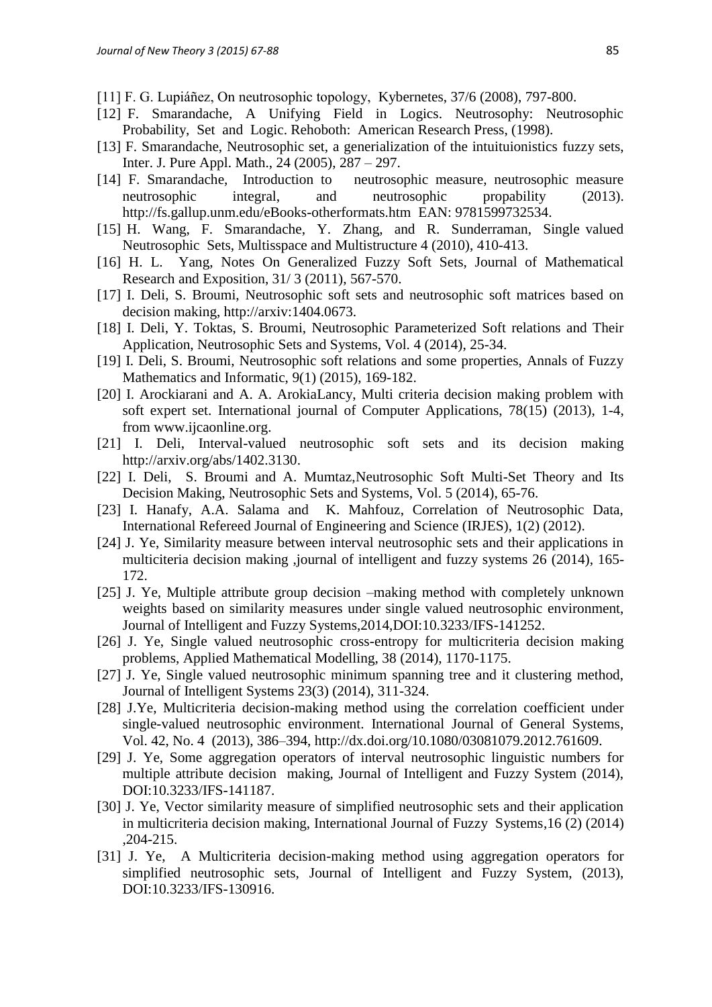- [11] F. G. Lupiáñez, On neutrosophic topology, Kybernetes, 37/6 (2008), 797-800.
- [12] F. Smarandache, A Unifying Field in Logics. Neutrosophy: Neutrosophic Probability, Set and Logic. Rehoboth: American Research Press, (1998).
- [13] F. Smarandache, Neutrosophic set, a generialization of the intuituionistics fuzzy sets, Inter. J. Pure Appl. Math., 24 (2005), 287 – 297.
- [14] F. Smarandache, Introduction to neutrosophic measure, neutrosophic measure neutrosophic integral, and neutrosophic propability (2013). <http://fs.gallup.unm.edu/eBooks-otherformats.htm>EAN: 9781599732534.
- [15] H. Wang, F. Smarandache, Y. Zhang, and R. Sunderraman, Single valued Neutrosophic Sets, Multisspace and Multistructure 4 (2010), 410-413.
- [16] H. L. Yang, Notes On Generalized Fuzzy Soft Sets, Journal of Mathematical Research and Exposition, 31/ 3 (2011), 567-570.
- [17] I. Deli, S. Broumi, Neutrosophic soft sets and neutrosophic soft matrices based on decision making, http://arxiv:1404.0673.
- [18] I. Deli, Y. Toktas, S. Broumi, Neutrosophic Parameterized Soft relations and Their Application, Neutrosophic Sets and Systems, Vol. 4 (2014), 25-34.
- [19] I. Deli, S. Broumi, Neutrosophic soft relations and some properties, Annals of Fuzzy Mathematics and Informatic, 9(1) (2015), 169-182.
- [20] I. Arockiarani and A. A. ArokiaLancy, Multi criteria decision making problem with soft expert set. International journal of Computer Applications, 78(15) (2013), 1-4, from www.ijcaonline.org.
- [21] I. Deli, Interval-valued neutrosophic soft sets and its decision making [http://arxiv.org/abs/1402.3130.](http://arxiv.org/abs/1402.3130)
- [22] I. Deli, S. Broumi and A. Mumtaz, Neutrosophic Soft Multi-Set Theory and Its Decision Making, Neutrosophic Sets and Systems, Vol. 5 (2014), 65-76.
- [23] I. Hanafy, A.A. Salama and K. Mahfouz, Correlation of Neutrosophic Data, International Refereed Journal of Engineering and Science (IRJES), 1(2) (2012).
- [24] J. Ye, Similarity measure between interval neutrosophic sets and their applications in multiciteria decision making ,journal of intelligent and fuzzy systems 26 (2014), 165- 172.
- [25] J. Ye, Multiple attribute group decision –making method with completely unknown weights based on similarity measures under single valued neutrosophic environment, Journal of Intelligent and Fuzzy Systems,2014,DOI:10.3233/IFS-141252.
- [26] J. Ye, Single valued neutrosophic cross-entropy for multicriteria decision making problems, Applied Mathematical Modelling, 38 (2014), 1170-1175.
- [27] J. Ye, Single valued neutrosophic minimum spanning tree and it clustering method, Journal of Intelligent Systems 23(3) (2014), 311-324.
- [28] J.Ye, Multicriteria decision-making method using the correlation coefficient under single-valued neutrosophic environment. International Journal of General Systems, Vol. 42, No. 4 (2013), 386–394, [http://dx.doi.org/10.1080/03081079.2012.761609.](http://dx.doi.org/10.1080/03081079.2012.761609)
- [29] J. Ye, Some aggregation operators of interval neutrosophic linguistic numbers for multiple attribute decision making, Journal of Intelligent and Fuzzy System (2014), DOI:10.3233/IFS-141187.
- [30] J. Ye, Vector similarity measure of simplified neutrosophic sets and their application in multicriteria decision making, International Journal of Fuzzy Systems,16 (2) (2014) ,204-215.
- [31] J. Ye, A Multicriteria decision-making method using aggregation operators for simplified neutrosophic sets, Journal of Intelligent and Fuzzy System, (2013), DOI:10.3233/IFS-130916.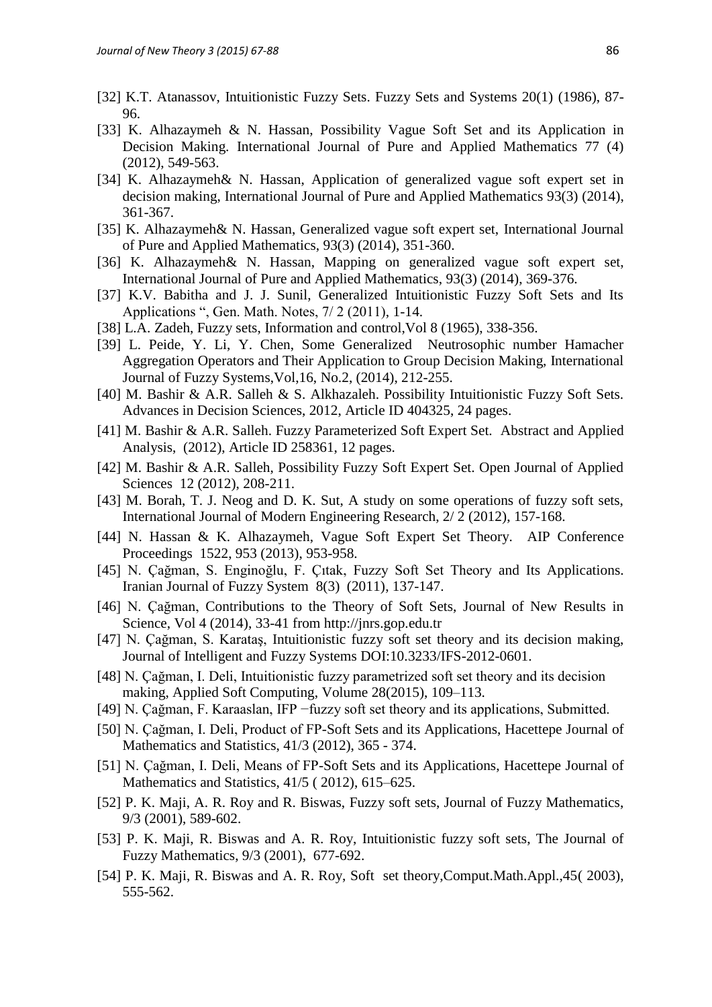- [32] K.T. Atanassov, Intuitionistic Fuzzy Sets. Fuzzy Sets and Systems 20(1) (1986), 87- 96.
- [33] K. Alhazaymeh & N. Hassan, Possibility Vague Soft Set and its Application in Decision Making. International Journal of Pure and Applied Mathematics 77 (4) (2012), 549-563.
- [34] K. Alhazaymeh& N. Hassan, Application of generalized vague soft expert set in decision making, International Journal of Pure and Applied Mathematics 93(3) (2014), 361-367.
- [35] K. Alhazaymeh& N. Hassan, Generalized vague soft expert set, International Journal of Pure and Applied Mathematics, 93(3) (2014), 351-360.
- [36] K. Alhazaymeh& N. Hassan, Mapping on generalized vague soft expert set, International Journal of Pure and Applied Mathematics, 93(3) (2014), 369-376.
- [37] K.V. Babitha and J. J. Sunil, Generalized Intuitionistic Fuzzy Soft Sets and Its Applications ", Gen. Math. Notes, 7/ 2 (2011), 1-14.
- [38] L.A. Zadeh, Fuzzy sets, Information and control,Vol 8 (1965), 338-356.
- [39] L. Peide, Y. Li, Y. Chen, Some Generalized Neutrosophic number Hamacher Aggregation Operators and Their Application to Group Decision Making, International Journal of Fuzzy Systems,Vol,16, No.2, (2014), 212-255.
- [40] M. Bashir & A.R. Salleh & S. Alkhazaleh. Possibility Intuitionistic Fuzzy Soft Sets. Advances in Decision Sciences, 2012, Article ID 404325, 24 pages.
- [41] M. Bashir & A.R. Salleh. Fuzzy Parameterized Soft Expert Set. Abstract and Applied Analysis, (2012), Article ID 258361, 12 pages.
- [42] M. Bashir & A.R. Salleh, Possibility Fuzzy Soft Expert Set. Open Journal of Applied Sciences 12 (2012), 208-211.
- [43] M. Borah, T. J. Neog and D. K. Sut, A study on some operations of fuzzy soft sets, International Journal of Modern Engineering Research, 2/ 2 (2012), 157-168.
- [44] N. Hassan & K. Alhazaymeh, Vague Soft Expert Set Theory. AIP Conference Proceedings 1522, 953 (2013), 953-958.
- [45] N. Çağman, S. Enginoğlu, F. Çıtak, Fuzzy Soft Set Theory and Its Applications. Iranian Journal of Fuzzy System 8(3) (2011), 137-147.
- [46] N. Çağman, Contributions to the Theory of Soft Sets, Journal of New Results in Science, Vol 4 (2014), 33-41 from http://jnrs.gop.edu.tr
- [47] N. Çağman, S. Karataş, Intuitionistic fuzzy soft set theory and its decision making, Journal of Intelligent and Fuzzy Systems DOI:10.3233/IFS-2012-0601.
- [48] N. Çağman, I. Deli, Intuitionistic fuzzy parametrized soft set theory and its decision making, [Applied Soft Computing,](http://www.sciencedirect.com/science/journal/15684946) [Volume 28\(](http://www.sciencedirect.com/science/journal/15684946/28/supp/C)2015), 109–113.
- [49] N. Çağman, F. Karaaslan, IFP −fuzzy soft set theory and its applications, Submitted.
- [50] N. Çağman, I. Deli, Product of FP-Soft Sets and its Applications, Hacettepe Journal of Mathematics and Statistics, 41/3 (2012), 365 - 374.
- [51] N. Çağman, I. Deli, Means of FP-Soft Sets and its Applications, Hacettepe Journal of Mathematics and Statistics, 41/5 (2012), 615–625.
- [52] P. K. Maji, A. R. Roy and R. Biswas, Fuzzy soft sets, Journal of Fuzzy Mathematics, 9/3 (2001), 589-602.
- [53] P. K. Maji, R. Biswas and A. R. Roy, Intuitionistic fuzzy soft sets, The Journal of Fuzzy Mathematics, 9/3 (2001), 677-692.
- [54] P. K. Maji, R. Biswas and A. R. Roy, Soft set theory,Comput.Math.Appl.,45( 2003), 555-562.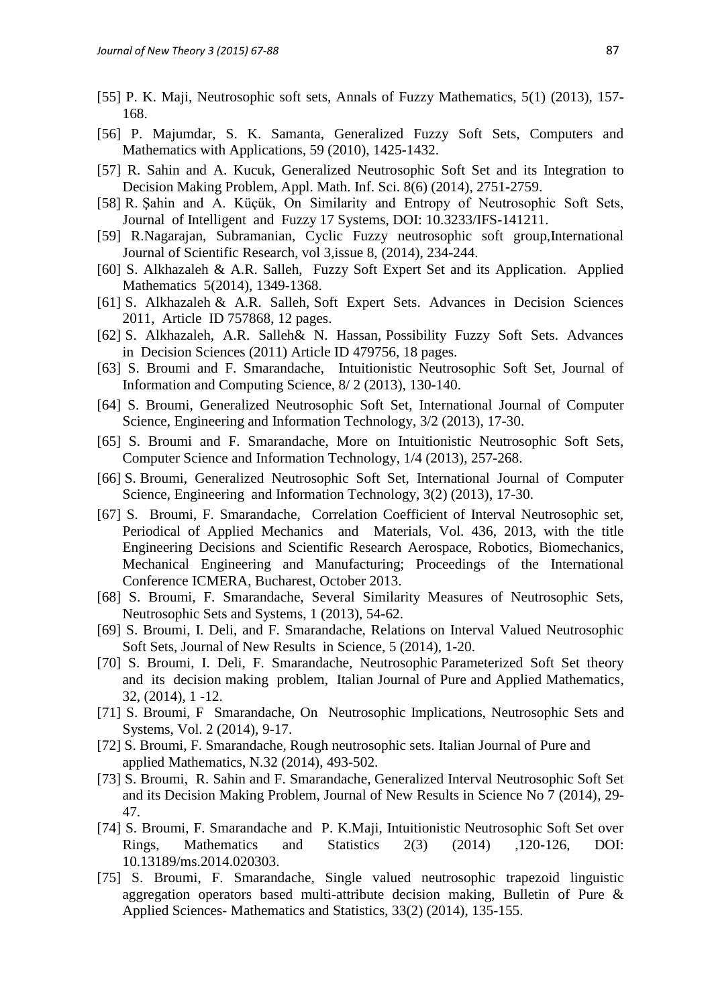- [55] P. K. Maji, Neutrosophic soft sets, Annals of Fuzzy Mathematics, 5(1) (2013), 157- 168.
- [56] P. Majumdar, S. K. Samanta, Generalized Fuzzy Soft Sets, Computers and Mathematics with Applications, 59 (2010), 1425-1432.
- [57] R. Sahin and A. Kucuk, Generalized Neutrosophic Soft Set and its Integration to Decision Making Problem, Appl. Math. Inf. Sci. 8(6) (2014), 2751-2759.
- [58] R. Şahin and A. Küçük, On Similarity and Entropy of Neutrosophic Soft Sets, Journal of Intelligent and Fuzzy 17 Systems, DOI: 10.3233/IFS-141211.
- [59] R.Nagarajan, Subramanian, Cyclic Fuzzy neutrosophic soft group,International Journal of Scientific Research, vol 3,issue 8, (2014), 234-244.
- [60] S. Alkhazaleh & A.R. Salleh, Fuzzy Soft Expert Set and its Application. Applied Mathematics 5(2014), 1349-1368.
- [61] S. Alkhazaleh & A.R. Salleh, Soft Expert Sets. Advances in Decision Sciences 2011, Article ID 757868, 12 pages.
- [62] S. Alkhazaleh, A.R. Salleh& N. Hassan, Possibility Fuzzy Soft Sets. Advances in Decision Sciences (2011) Article ID 479756, 18 pages.
- [63] S. Broumi and F. Smarandache, Intuitionistic Neutrosophic Soft Set, Journal of Information and Computing Science, 8/ 2 (2013), 130-140.
- [64] S. Broumi, Generalized Neutrosophic Soft Set, International Journal of Computer Science, Engineering and Information Technology, 3/2 (2013), 17-30.
- [65] S. Broumi and F. Smarandache, More on Intuitionistic Neutrosophic Soft Sets, Computer Science and Information Technology, 1/4 (2013), 257-268.
- [66] S. Broumi, Generalized Neutrosophic Soft Set, International Journal of Computer Science, Engineering and Information Technology, 3(2) (2013), 17-30.
- [67] S. Broumi, F. Smarandache, Correlation Coefficient of Interval Neutrosophic set, Periodical of Applied Mechanics and Materials, Vol. 436, 2013, with the title Engineering Decisions and Scientific Research Aerospace, Robotics, Biomechanics, Mechanical Engineering and Manufacturing; Proceedings of the International Conference ICMERA, Bucharest, October 2013.
- [68] S. Broumi, F. Smarandache, Several Similarity Measures of Neutrosophic Sets, Neutrosophic Sets and Systems, 1 (2013), 54-62.
- [69] S. Broumi, I. Deli, and F. Smarandache, Relations on Interval Valued Neutrosophic Soft Sets, Journal of New Results in Science, 5 (2014), 1-20.
- [70] S. Broumi, I. Deli, F. Smarandache, Neutrosophic Parameterized Soft Set theory and its decision making problem, Italian Journal of Pure and Applied Mathematics, 32, (2014), 1 -12.
- [71] S. Broumi, F Smarandache, On Neutrosophic Implications, Neutrosophic Sets and Systems, Vol. 2 (2014), 9-17.
- [72] S. Broumi, F. Smarandache, Rough neutrosophic sets. Italian Journal of Pure and applied Mathematics, N.32 (2014), 493-502.
- [73] S. Broumi, R. Sahin and F. Smarandache, Generalized Interval Neutrosophic Soft Set and its Decision Making Problem, Journal of New Results in Science No 7 (2014), 29- 47.
- [74] S. Broumi, F. Smarandache and P. K.Maji, Intuitionistic Neutrosophic Soft Set over Rings, Mathematics and Statistics 2(3) (2014) ,120-126, DOI: 10.13189/ms.2014.020303.
- [75] S. Broumi, F. Smarandache, Single valued neutrosophic trapezoid linguistic aggregation operators based multi-attribute decision making, Bulletin of Pure & Applied Sciences- Mathematics and Statistics, 33(2) (2014), 135-155.